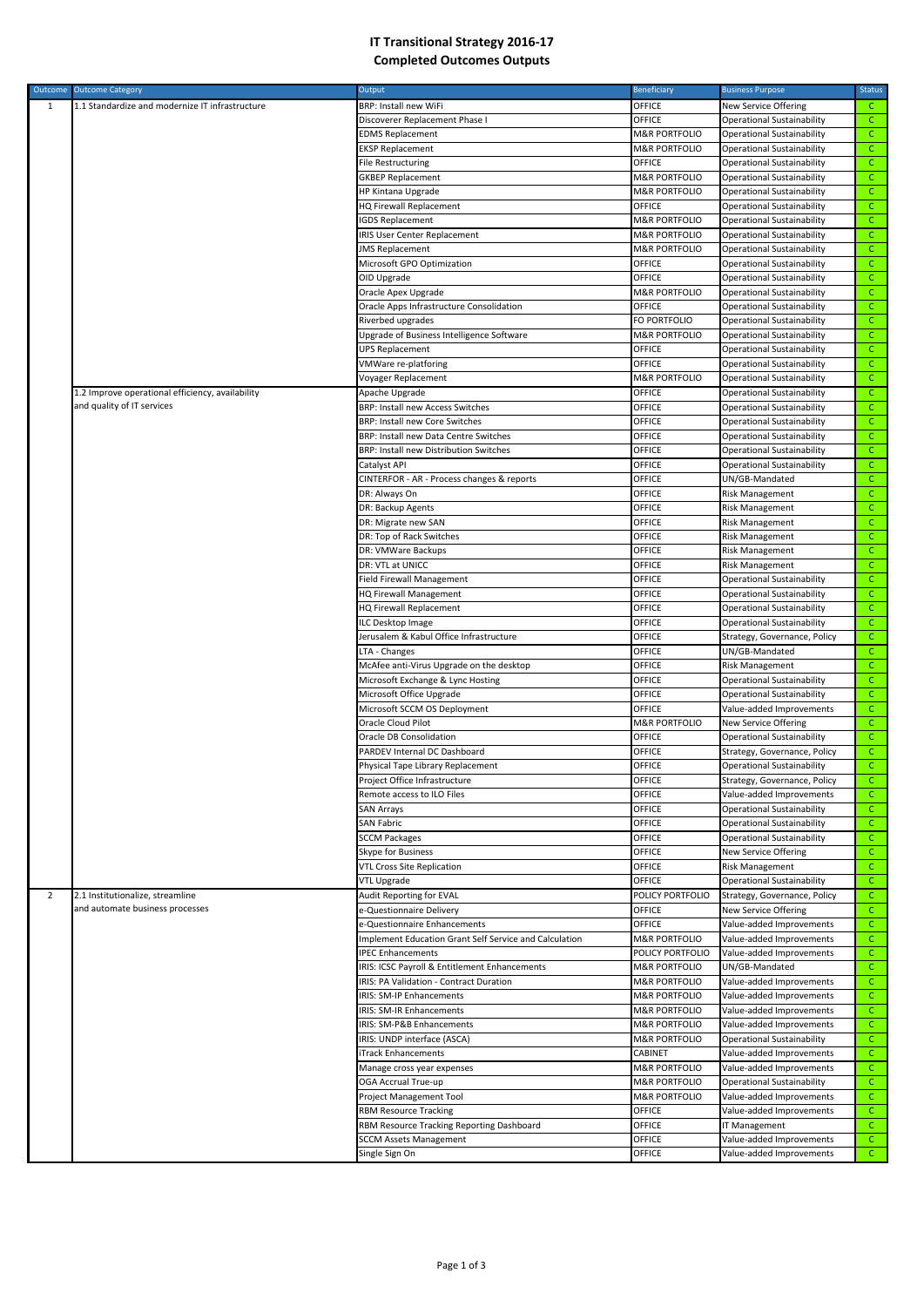## **IT Transitional Strategy 2016‐17 Completed Outcomes Outputs**

|                | <b>Outcome</b> Outcome Category                  | Output                                                | <b>Beneficiary</b>       | <b>Business Purpose</b>           | <b>Status</b>                          |
|----------------|--------------------------------------------------|-------------------------------------------------------|--------------------------|-----------------------------------|----------------------------------------|
| 1              | 1.1 Standardize and modernize IT infrastructure  | BRP: Install new WiFi                                 | OFFICE                   | New Service Offering              | $\mathsf{C}$                           |
|                |                                                  | Discoverer Replacement Phase I                        | OFFICE                   | Operational Sustainability        | $\mathsf{C}$                           |
|                |                                                  | <b>EDMS Replacement</b>                               | <b>M&amp;R PORTFOLIO</b> | Operational Sustainability        | $\mathsf{C}$                           |
|                |                                                  | <b>EKSP Replacement</b>                               | <b>M&amp;R PORTFOLIO</b> | Operational Sustainability        | $\mathsf{C}$                           |
|                |                                                  | File Restructuring                                    | OFFICE                   | Operational Sustainability        | $\mathsf C$                            |
|                |                                                  | <b>GKBEP Replacement</b>                              | <b>M&amp;R PORTFOLIO</b> | Operational Sustainability        | $\overline{C}$                         |
|                |                                                  | HP Kintana Upgrade                                    | <b>M&amp;R PORTFOLIO</b> | <b>Operational Sustainability</b> | $\mathsf{C}^-$                         |
|                |                                                  | <b>IQ Firewall Replacement</b>                        | OFFICE                   | Operational Sustainability        | $\mathsf{C}^-$                         |
|                |                                                  | <b>GDS Replacement</b>                                | M&R PORTFOLIO            | Operational Sustainability        | $\overline{C}$                         |
|                |                                                  | RIS User Center Replacement                           | M&R PORTFOLIO            | Operational Sustainability        | $\mathsf{C}$                           |
|                |                                                  | <b>IMS Replacement</b>                                | <b>M&amp;R PORTFOLIO</b> | Operational Sustainability        | $\mathsf{C}$                           |
|                |                                                  | Microsoft GPO Optimization                            | OFFICE                   | Operational Sustainability        | $\mathsf{C}$                           |
|                |                                                  | OID Upgrade                                           | OFFICE                   | Operational Sustainability        | $\mathsf{C}$                           |
|                |                                                  | Oracle Apex Upgrade                                   | <b>M&amp;R PORTFOLIO</b> | Operational Sustainability        | $\mathsf{C}$                           |
|                |                                                  | Oracle Apps Infrastructure Consolidation              | OFFICE                   | Operational Sustainability        | $\mathsf C$                            |
|                |                                                  | Riverbed upgrades                                     | FO PORTFOLIO             | Operational Sustainability        | $\mathsf{C}$                           |
|                |                                                  |                                                       |                          |                                   | $\mathsf{C}$                           |
|                |                                                  | Jpgrade of Business Intelligence Software             | <b>M&amp;R PORTFOLIO</b> | Operational Sustainability        |                                        |
|                |                                                  | JPS Replacement                                       | OFFICE                   | Operational Sustainability        | $\mathsf C$                            |
|                |                                                  | VMWare re-platforing                                  | OFFICE                   | Operational Sustainability        | $\mathsf C$                            |
|                |                                                  | Voyager Replacement                                   | <b>M&amp;R PORTFOLIO</b> | <b>Operational Sustainability</b> | $\mathsf{C}^{\perp}$                   |
|                | 1.2 Improve operational efficiency, availability | Apache Upgrade                                        | OFFICE                   | Operational Sustainability        | $\overline{C}$                         |
|                | and quality of IT services                       | BRP: Install new Access Switches                      | OFFICE                   | Operational Sustainability        | $\mathsf{C}$                           |
|                |                                                  | <b>BRP: Install new Core Switches</b>                 | OFFICE                   | Operational Sustainability        | $\mathsf{C}$                           |
|                |                                                  | BRP: Install new Data Centre Switches                 | OFFICE                   | <b>Operational Sustainability</b> | $\mathsf C$                            |
|                |                                                  | BRP: Install new Distribution Switches                | OFFICE                   | Operational Sustainability        | $\mathsf{C}$                           |
|                |                                                  | Catalyst API                                          | OFFICE                   | Operational Sustainability        | $\mathsf C$                            |
|                |                                                  | CINTERFOR - AR - Process changes & reports            | OFFICE                   | UN/GB-Mandated                    | $\mathsf C$                            |
|                |                                                  | DR: Always On                                         | OFFICE                   | <b>Risk Management</b>            | $\mathsf{C}$                           |
|                |                                                  | DR: Backup Agents                                     | OFFICE                   | <b>Risk Management</b>            | $\overline{C}$                         |
|                |                                                  | DR: Migrate new SAN                                   | OFFICE                   | <b>Risk Management</b>            | $\overline{C}$                         |
|                |                                                  | DR: Top of Rack Switches                              | OFFICE                   | Risk Management                   | $\mathsf{C}^{\perp}$                   |
|                |                                                  | DR: VMWare Backups                                    | OFFICE                   | <b>Risk Management</b>            | $\mathsf{C}^-$                         |
|                |                                                  | DR: VTL at UNICC                                      | OFFICE                   | <b>Risk Management</b>            | $\mathsf{C}$                           |
|                |                                                  | Field Firewall Management                             | OFFICE                   | Operational Sustainability        | $\mathsf{C}^{\perp}$                   |
|                |                                                  | <b>IQ Firewall Management</b>                         | OFFICE                   | Operational Sustainability        | $\mathsf C$                            |
|                |                                                  | <b>IQ Firewall Replacement</b>                        | OFFICE                   | <b>Operational Sustainability</b> | $\mathsf{C}^{\perp}$                   |
|                |                                                  | LC Desktop Image                                      | OFFICE                   | Operational Sustainability        | $\mathsf{C}$                           |
|                |                                                  | Ierusalem & Kabul Office Infrastructure               | OFFICE                   | Strategy, Governance, Policy      | $\mathsf C$                            |
|                |                                                  | TA - Changes                                          | OFFICE                   |                                   | $\mathsf{C}$                           |
|                |                                                  |                                                       | OFFICE                   | UN/GB-Mandated<br>Risk Management | $\overline{C}$                         |
|                |                                                  | McAfee anti-Virus Upgrade on the desktop              |                          |                                   |                                        |
|                |                                                  | Microsoft Exchange & Lync Hosting                     | OFFICE                   | Operational Sustainability        | $\mathsf{C}$                           |
|                |                                                  | Microsoft Office Upgrade                              | OFFICE                   | <b>Operational Sustainability</b> | $\mathsf{C}^-$                         |
|                |                                                  | Microsoft SCCM OS Deployment                          | OFFICE                   | Value-added Improvements          | $\mathsf C$                            |
|                |                                                  | Oracle Cloud Pilot                                    | <b>M&amp;R PORTFOLIO</b> | New Service Offering              | $\mathsf C$                            |
|                |                                                  | Oracle DB Consolidation                               | OFFICE                   | Operational Sustainability        | $\mathsf{C}$                           |
|                |                                                  | PARDEV Internal DC Dashboard                          | OFFICE                   | Strategy, Governance, Policy      | $\mathsf{C}$                           |
|                |                                                  | Physical Tape Library Replacement                     | OFFICE                   | Operational Sustainability        | $\mathsf{C}^{\perp}$                   |
|                |                                                  | Project Office Infrastructure                         | OFFICE                   | Strategy, Governance, Policy      | $\mathsf C$                            |
|                |                                                  | Remote access to ILO Files                            | OFFICE                   | Value-added Improvements          | $\mathsf C$                            |
|                |                                                  | <b>SAN Arrays</b>                                     | OFFICE                   | Operational Sustainability        | $\mathsf C$                            |
|                |                                                  | SAN Fabric                                            | OFFICE                   | Operational Sustainability        | $\mathsf{C}$                           |
|                |                                                  | <b>SCCM Packages</b>                                  | OFFICE                   | Operational Sustainability        | $\mathsf{C}$                           |
|                |                                                  | Skype for Business                                    | OFFICE                   | New Service Offering              | $\mathsf{C}^{\scriptscriptstyle \top}$ |
|                |                                                  | VTL Cross Site Replication                            | OFFICE                   | <b>Risk Management</b>            | $\mathsf{C}^-$                         |
|                |                                                  | VTL Upgrade                                           | OFFICE                   | <b>Operational Sustainability</b> | $\mathsf{C}^-$                         |
| $\overline{2}$ | 2.1 Institutionalize, streamline                 | Audit Reporting for EVAL                              | POLICY PORTFOLIO         | Strategy, Governance, Policy      | $\mathsf C$                            |
|                | and automate business processes                  | e-Questionnaire Delivery                              | OFFICE                   | New Service Offering              | $\overline{C}$                         |
|                |                                                  | -Questionnaire Enhancements                           | OFFICE                   | Value-added Improvements          | $\mathsf C$                            |
|                |                                                  | mplement Education Grant Self Service and Calculation | <b>M&amp;R PORTFOLIO</b> | Value-added Improvements          | $\mathsf C$                            |
|                |                                                  | PEC Enhancements                                      | POLICY PORTFOLIO         | Value-added Improvements          | $\mathsf{C}$                           |
|                |                                                  | RIS: ICSC Payroll & Entitlement Enhancements          | <b>M&amp;R PORTFOLIO</b> | UN/GB-Mandated                    | $\mathsf C$                            |
|                |                                                  | RIS: PA Validation - Contract Duration                | M&R PORTFOLIO            | Value-added Improvements          | $\mathsf{C}$                           |
|                |                                                  | RIS: SM-IP Enhancements                               | <b>M&amp;R PORTFOLIO</b> | Value-added Improvements          | $\mathsf C$                            |
|                |                                                  |                                                       |                          |                                   | $\mathsf{C}^{\scriptscriptstyle \top}$ |
|                |                                                  | RIS: SM-IR Enhancements                               | M&R PORTFOLIO            | Value-added Improvements          |                                        |
|                |                                                  | RIS: SM-P&B Enhancements                              | M&R PORTFOLIO            | Value-added Improvements          | $\mathsf{C}^{\scriptscriptstyle \top}$ |
|                |                                                  | RIS: UNDP interface (ASCA)                            | <b>M&amp;R PORTFOLIO</b> | Operational Sustainability        | $\mathsf{C}^-$                         |
|                |                                                  | <b>Track Enhancements</b>                             | CABINET                  | Value-added Improvements          | $\mathsf C^-$                          |
|                |                                                  | Manage cross year expenses                            | <b>M&amp;R PORTFOLIO</b> | Value-added Improvements          | $\mathsf C$                            |
|                |                                                  | OGA Accrual True-up                                   | M&R PORTFOLIO            | Operational Sustainability        | $\mathsf{C}$                           |
|                |                                                  | Project Management Tool                               | <b>M&amp;R PORTFOLIO</b> | Value-added Improvements          | $\mathsf C$                            |
|                |                                                  | RBM Resource Tracking                                 | OFFICE                   | Value-added Improvements          | $\mathsf{C}$                           |
|                |                                                  | RBM Resource Tracking Reporting Dashboard             | OFFICE                   | IT Management                     | $\mathsf C$                            |
|                |                                                  | <b>SCCM Assets Management</b>                         | OFFICE                   | Value-added Improvements          | $\mathsf C^-$                          |
|                |                                                  | Single Sign On                                        | OFFICE                   | Value-added Improvements          | $\mathsf{C}$                           |
|                |                                                  |                                                       |                          |                                   |                                        |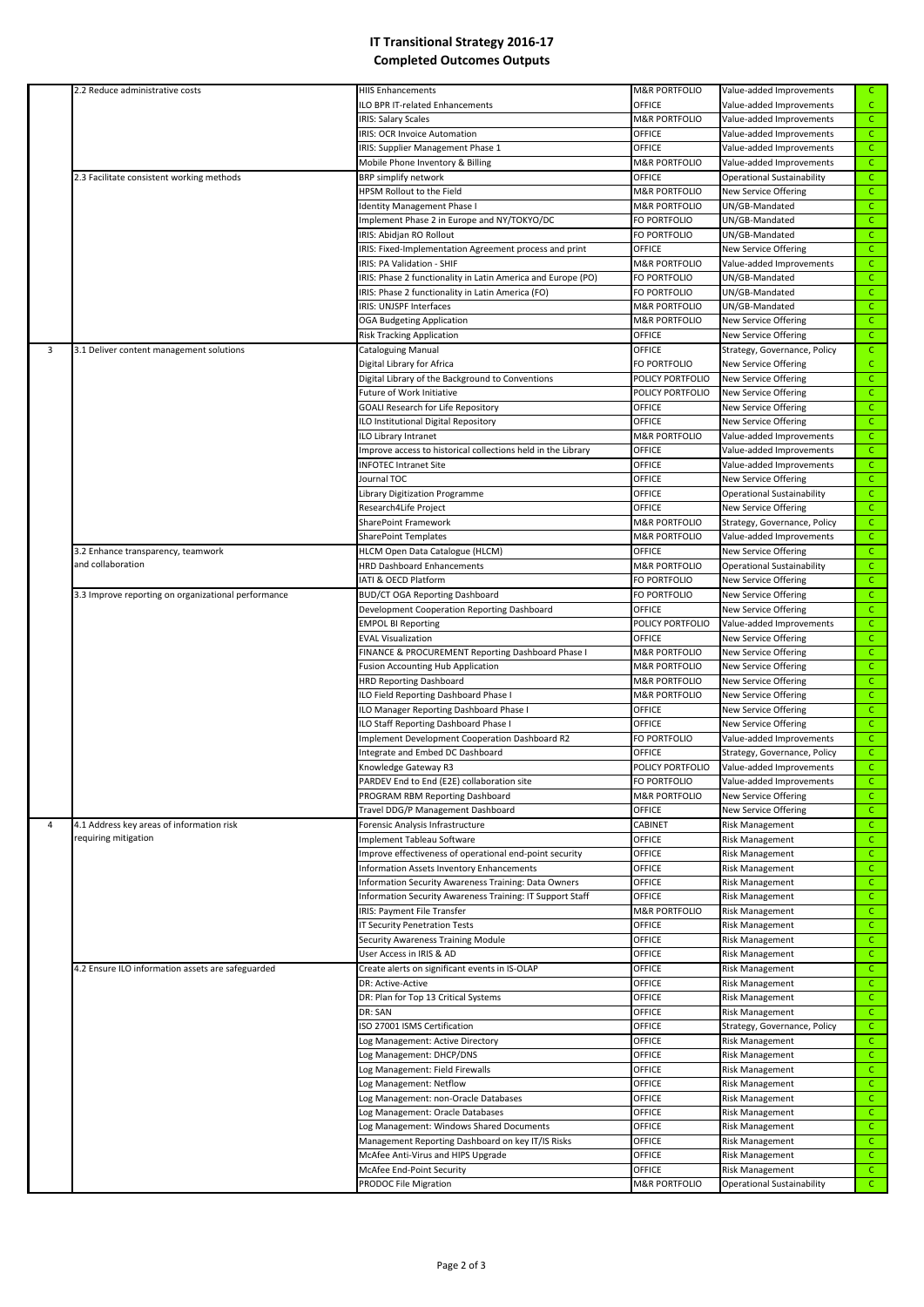## **IT Transitional Strategy 2016‐17 Completed Outcomes Outputs**

|                | 2.2 Reduce administrative costs                     |                                                                                                                                                                                                                                                                                                                                                                                                                                                                                                                                                                                                                                                                                                                                                                                                                                                                                                                                                                                                                                                                                                                                                                                                                                                                                                                                                                                                                                                                                                                                                                                                                                                                                                                                                                                                                                                                                                                                                                                                                                                                                                                                                                                                                                                                                                                                                                                                                                                                                                                                                                                                                                                                                                                                                                                                                                                                                                                                                                                                                                                                                                                                                                                                                                                                                                                                                                                                                                                                                                                                                                                                                                                                                                                                                                                                                                                                                                                                                                                                                                                                                                                                                                                                                                                                                                                                                                                                                                                                                                                                                                                                                                                                                                                                                                                                                                                                                                                                                                                                                                                                                                                                                                                                                                                                                                                                                                                                                                                                                                                                                                                                                             |                          |                            |              |
|----------------|-----------------------------------------------------|-----------------------------------------------------------------------------------------------------------------------------------------------------------------------------------------------------------------------------------------------------------------------------------------------------------------------------------------------------------------------------------------------------------------------------------------------------------------------------------------------------------------------------------------------------------------------------------------------------------------------------------------------------------------------------------------------------------------------------------------------------------------------------------------------------------------------------------------------------------------------------------------------------------------------------------------------------------------------------------------------------------------------------------------------------------------------------------------------------------------------------------------------------------------------------------------------------------------------------------------------------------------------------------------------------------------------------------------------------------------------------------------------------------------------------------------------------------------------------------------------------------------------------------------------------------------------------------------------------------------------------------------------------------------------------------------------------------------------------------------------------------------------------------------------------------------------------------------------------------------------------------------------------------------------------------------------------------------------------------------------------------------------------------------------------------------------------------------------------------------------------------------------------------------------------------------------------------------------------------------------------------------------------------------------------------------------------------------------------------------------------------------------------------------------------------------------------------------------------------------------------------------------------------------------------------------------------------------------------------------------------------------------------------------------------------------------------------------------------------------------------------------------------------------------------------------------------------------------------------------------------------------------------------------------------------------------------------------------------------------------------------------------------------------------------------------------------------------------------------------------------------------------------------------------------------------------------------------------------------------------------------------------------------------------------------------------------------------------------------------------------------------------------------------------------------------------------------------------------------------------------------------------------------------------------------------------------------------------------------------------------------------------------------------------------------------------------------------------------------------------------------------------------------------------------------------------------------------------------------------------------------------------------------------------------------------------------------------------------------------------------------------------------------------------------------------------------------------------------------------------------------------------------------------------------------------------------------------------------------------------------------------------------------------------------------------------------------------------------------------------------------------------------------------------------------------------------------------------------------------------------------------------------------------------------------------------------------------------------------------------------------------------------------------------------------------------------------------------------------------------------------------------------------------------------------------------------------------------------------------------------------------------------------------------------------------------------------------------------------------------------------------------------------------------------------------------------------------------------------------------------------------------------------------------------------------------------------------------------------------------------------------------------------------------------------------------------------------------------------------------------------------------------------------------------------------------------------------------------------------------------------------------------------------------------------------------------------------------------------------------------|--------------------------|----------------------------|--------------|
|                |                                                     |                                                                                                                                                                                                                                                                                                                                                                                                                                                                                                                                                                                                                                                                                                                                                                                                                                                                                                                                                                                                                                                                                                                                                                                                                                                                                                                                                                                                                                                                                                                                                                                                                                                                                                                                                                                                                                                                                                                                                                                                                                                                                                                                                                                                                                                                                                                                                                                                                                                                                                                                                                                                                                                                                                                                                                                                                                                                                                                                                                                                                                                                                                                                                                                                                                                                                                                                                                                                                                                                                                                                                                                                                                                                                                                                                                                                                                                                                                                                                                                                                                                                                                                                                                                                                                                                                                                                                                                                                                                                                                                                                                                                                                                                                                                                                                                                                                                                                                                                                                                                                                                                                                                                                                                                                                                                                                                                                                                                                                                                                                                                                                                                                             |                          |                            |              |
|                |                                                     |                                                                                                                                                                                                                                                                                                                                                                                                                                                                                                                                                                                                                                                                                                                                                                                                                                                                                                                                                                                                                                                                                                                                                                                                                                                                                                                                                                                                                                                                                                                                                                                                                                                                                                                                                                                                                                                                                                                                                                                                                                                                                                                                                                                                                                                                                                                                                                                                                                                                                                                                                                                                                                                                                                                                                                                                                                                                                                                                                                                                                                                                                                                                                                                                                                                                                                                                                                                                                                                                                                                                                                                                                                                                                                                                                                                                                                                                                                                                                                                                                                                                                                                                                                                                                                                                                                                                                                                                                                                                                                                                                                                                                                                                                                                                                                                                                                                                                                                                                                                                                                                                                                                                                                                                                                                                                                                                                                                                                                                                                                                                                                                                                             |                          |                            |              |
|                |                                                     |                                                                                                                                                                                                                                                                                                                                                                                                                                                                                                                                                                                                                                                                                                                                                                                                                                                                                                                                                                                                                                                                                                                                                                                                                                                                                                                                                                                                                                                                                                                                                                                                                                                                                                                                                                                                                                                                                                                                                                                                                                                                                                                                                                                                                                                                                                                                                                                                                                                                                                                                                                                                                                                                                                                                                                                                                                                                                                                                                                                                                                                                                                                                                                                                                                                                                                                                                                                                                                                                                                                                                                                                                                                                                                                                                                                                                                                                                                                                                                                                                                                                                                                                                                                                                                                                                                                                                                                                                                                                                                                                                                                                                                                                                                                                                                                                                                                                                                                                                                                                                                                                                                                                                                                                                                                                                                                                                                                                                                                                                                                                                                                                                             |                          |                            |              |
|                |                                                     |                                                                                                                                                                                                                                                                                                                                                                                                                                                                                                                                                                                                                                                                                                                                                                                                                                                                                                                                                                                                                                                                                                                                                                                                                                                                                                                                                                                                                                                                                                                                                                                                                                                                                                                                                                                                                                                                                                                                                                                                                                                                                                                                                                                                                                                                                                                                                                                                                                                                                                                                                                                                                                                                                                                                                                                                                                                                                                                                                                                                                                                                                                                                                                                                                                                                                                                                                                                                                                                                                                                                                                                                                                                                                                                                                                                                                                                                                                                                                                                                                                                                                                                                                                                                                                                                                                                                                                                                                                                                                                                                                                                                                                                                                                                                                                                                                                                                                                                                                                                                                                                                                                                                                                                                                                                                                                                                                                                                                                                                                                                                                                                                                             |                          |                            |              |
|                |                                                     |                                                                                                                                                                                                                                                                                                                                                                                                                                                                                                                                                                                                                                                                                                                                                                                                                                                                                                                                                                                                                                                                                                                                                                                                                                                                                                                                                                                                                                                                                                                                                                                                                                                                                                                                                                                                                                                                                                                                                                                                                                                                                                                                                                                                                                                                                                                                                                                                                                                                                                                                                                                                                                                                                                                                                                                                                                                                                                                                                                                                                                                                                                                                                                                                                                                                                                                                                                                                                                                                                                                                                                                                                                                                                                                                                                                                                                                                                                                                                                                                                                                                                                                                                                                                                                                                                                                                                                                                                                                                                                                                                                                                                                                                                                                                                                                                                                                                                                                                                                                                                                                                                                                                                                                                                                                                                                                                                                                                                                                                                                                                                                                                                             |                          |                            |              |
|                |                                                     | Mobile Phone Inventory & Billing                                                                                                                                                                                                                                                                                                                                                                                                                                                                                                                                                                                                                                                                                                                                                                                                                                                                                                                                                                                                                                                                                                                                                                                                                                                                                                                                                                                                                                                                                                                                                                                                                                                                                                                                                                                                                                                                                                                                                                                                                                                                                                                                                                                                                                                                                                                                                                                                                                                                                                                                                                                                                                                                                                                                                                                                                                                                                                                                                                                                                                                                                                                                                                                                                                                                                                                                                                                                                                                                                                                                                                                                                                                                                                                                                                                                                                                                                                                                                                                                                                                                                                                                                                                                                                                                                                                                                                                                                                                                                                                                                                                                                                                                                                                                                                                                                                                                                                                                                                                                                                                                                                                                                                                                                                                                                                                                                                                                                                                                                                                                                                                            | <b>M&amp;R PORTFOLIO</b> | Value-added Improvements   |              |
|                | 2.3 Facilitate consistent working methods           |                                                                                                                                                                                                                                                                                                                                                                                                                                                                                                                                                                                                                                                                                                                                                                                                                                                                                                                                                                                                                                                                                                                                                                                                                                                                                                                                                                                                                                                                                                                                                                                                                                                                                                                                                                                                                                                                                                                                                                                                                                                                                                                                                                                                                                                                                                                                                                                                                                                                                                                                                                                                                                                                                                                                                                                                                                                                                                                                                                                                                                                                                                                                                                                                                                                                                                                                                                                                                                                                                                                                                                                                                                                                                                                                                                                                                                                                                                                                                                                                                                                                                                                                                                                                                                                                                                                                                                                                                                                                                                                                                                                                                                                                                                                                                                                                                                                                                                                                                                                                                                                                                                                                                                                                                                                                                                                                                                                                                                                                                                                                                                                                                             |                          |                            |              |
|                |                                                     |                                                                                                                                                                                                                                                                                                                                                                                                                                                                                                                                                                                                                                                                                                                                                                                                                                                                                                                                                                                                                                                                                                                                                                                                                                                                                                                                                                                                                                                                                                                                                                                                                                                                                                                                                                                                                                                                                                                                                                                                                                                                                                                                                                                                                                                                                                                                                                                                                                                                                                                                                                                                                                                                                                                                                                                                                                                                                                                                                                                                                                                                                                                                                                                                                                                                                                                                                                                                                                                                                                                                                                                                                                                                                                                                                                                                                                                                                                                                                                                                                                                                                                                                                                                                                                                                                                                                                                                                                                                                                                                                                                                                                                                                                                                                                                                                                                                                                                                                                                                                                                                                                                                                                                                                                                                                                                                                                                                                                                                                                                                                                                                                                             |                          |                            |              |
|                |                                                     |                                                                                                                                                                                                                                                                                                                                                                                                                                                                                                                                                                                                                                                                                                                                                                                                                                                                                                                                                                                                                                                                                                                                                                                                                                                                                                                                                                                                                                                                                                                                                                                                                                                                                                                                                                                                                                                                                                                                                                                                                                                                                                                                                                                                                                                                                                                                                                                                                                                                                                                                                                                                                                                                                                                                                                                                                                                                                                                                                                                                                                                                                                                                                                                                                                                                                                                                                                                                                                                                                                                                                                                                                                                                                                                                                                                                                                                                                                                                                                                                                                                                                                                                                                                                                                                                                                                                                                                                                                                                                                                                                                                                                                                                                                                                                                                                                                                                                                                                                                                                                                                                                                                                                                                                                                                                                                                                                                                                                                                                                                                                                                                                                             |                          |                            |              |
|                |                                                     | Identity Management Phase I                                                                                                                                                                                                                                                                                                                                                                                                                                                                                                                                                                                                                                                                                                                                                                                                                                                                                                                                                                                                                                                                                                                                                                                                                                                                                                                                                                                                                                                                                                                                                                                                                                                                                                                                                                                                                                                                                                                                                                                                                                                                                                                                                                                                                                                                                                                                                                                                                                                                                                                                                                                                                                                                                                                                                                                                                                                                                                                                                                                                                                                                                                                                                                                                                                                                                                                                                                                                                                                                                                                                                                                                                                                                                                                                                                                                                                                                                                                                                                                                                                                                                                                                                                                                                                                                                                                                                                                                                                                                                                                                                                                                                                                                                                                                                                                                                                                                                                                                                                                                                                                                                                                                                                                                                                                                                                                                                                                                                                                                                                                                                                                                 |                          |                            |              |
|                |                                                     |                                                                                                                                                                                                                                                                                                                                                                                                                                                                                                                                                                                                                                                                                                                                                                                                                                                                                                                                                                                                                                                                                                                                                                                                                                                                                                                                                                                                                                                                                                                                                                                                                                                                                                                                                                                                                                                                                                                                                                                                                                                                                                                                                                                                                                                                                                                                                                                                                                                                                                                                                                                                                                                                                                                                                                                                                                                                                                                                                                                                                                                                                                                                                                                                                                                                                                                                                                                                                                                                                                                                                                                                                                                                                                                                                                                                                                                                                                                                                                                                                                                                                                                                                                                                                                                                                                                                                                                                                                                                                                                                                                                                                                                                                                                                                                                                                                                                                                                                                                                                                                                                                                                                                                                                                                                                                                                                                                                                                                                                                                                                                                                                                             |                          |                            | $\mathsf{C}$ |
|                |                                                     |                                                                                                                                                                                                                                                                                                                                                                                                                                                                                                                                                                                                                                                                                                                                                                                                                                                                                                                                                                                                                                                                                                                                                                                                                                                                                                                                                                                                                                                                                                                                                                                                                                                                                                                                                                                                                                                                                                                                                                                                                                                                                                                                                                                                                                                                                                                                                                                                                                                                                                                                                                                                                                                                                                                                                                                                                                                                                                                                                                                                                                                                                                                                                                                                                                                                                                                                                                                                                                                                                                                                                                                                                                                                                                                                                                                                                                                                                                                                                                                                                                                                                                                                                                                                                                                                                                                                                                                                                                                                                                                                                                                                                                                                                                                                                                                                                                                                                                                                                                                                                                                                                                                                                                                                                                                                                                                                                                                                                                                                                                                                                                                                                             |                          |                            |              |
|                |                                                     |                                                                                                                                                                                                                                                                                                                                                                                                                                                                                                                                                                                                                                                                                                                                                                                                                                                                                                                                                                                                                                                                                                                                                                                                                                                                                                                                                                                                                                                                                                                                                                                                                                                                                                                                                                                                                                                                                                                                                                                                                                                                                                                                                                                                                                                                                                                                                                                                                                                                                                                                                                                                                                                                                                                                                                                                                                                                                                                                                                                                                                                                                                                                                                                                                                                                                                                                                                                                                                                                                                                                                                                                                                                                                                                                                                                                                                                                                                                                                                                                                                                                                                                                                                                                                                                                                                                                                                                                                                                                                                                                                                                                                                                                                                                                                                                                                                                                                                                                                                                                                                                                                                                                                                                                                                                                                                                                                                                                                                                                                                                                                                                                                             |                          |                            |              |
|                |                                                     |                                                                                                                                                                                                                                                                                                                                                                                                                                                                                                                                                                                                                                                                                                                                                                                                                                                                                                                                                                                                                                                                                                                                                                                                                                                                                                                                                                                                                                                                                                                                                                                                                                                                                                                                                                                                                                                                                                                                                                                                                                                                                                                                                                                                                                                                                                                                                                                                                                                                                                                                                                                                                                                                                                                                                                                                                                                                                                                                                                                                                                                                                                                                                                                                                                                                                                                                                                                                                                                                                                                                                                                                                                                                                                                                                                                                                                                                                                                                                                                                                                                                                                                                                                                                                                                                                                                                                                                                                                                                                                                                                                                                                                                                                                                                                                                                                                                                                                                                                                                                                                                                                                                                                                                                                                                                                                                                                                                                                                                                                                                                                                                                                             |                          |                            |              |
|                |                                                     | <b>IRIS: PA Validation - SHIF</b>                                                                                                                                                                                                                                                                                                                                                                                                                                                                                                                                                                                                                                                                                                                                                                                                                                                                                                                                                                                                                                                                                                                                                                                                                                                                                                                                                                                                                                                                                                                                                                                                                                                                                                                                                                                                                                                                                                                                                                                                                                                                                                                                                                                                                                                                                                                                                                                                                                                                                                                                                                                                                                                                                                                                                                                                                                                                                                                                                                                                                                                                                                                                                                                                                                                                                                                                                                                                                                                                                                                                                                                                                                                                                                                                                                                                                                                                                                                                                                                                                                                                                                                                                                                                                                                                                                                                                                                                                                                                                                                                                                                                                                                                                                                                                                                                                                                                                                                                                                                                                                                                                                                                                                                                                                                                                                                                                                                                                                                                                                                                                                                           | M&R PORTFOLIO            | Value-added Improvements   |              |
|                |                                                     |                                                                                                                                                                                                                                                                                                                                                                                                                                                                                                                                                                                                                                                                                                                                                                                                                                                                                                                                                                                                                                                                                                                                                                                                                                                                                                                                                                                                                                                                                                                                                                                                                                                                                                                                                                                                                                                                                                                                                                                                                                                                                                                                                                                                                                                                                                                                                                                                                                                                                                                                                                                                                                                                                                                                                                                                                                                                                                                                                                                                                                                                                                                                                                                                                                                                                                                                                                                                                                                                                                                                                                                                                                                                                                                                                                                                                                                                                                                                                                                                                                                                                                                                                                                                                                                                                                                                                                                                                                                                                                                                                                                                                                                                                                                                                                                                                                                                                                                                                                                                                                                                                                                                                                                                                                                                                                                                                                                                                                                                                                                                                                                                                             |                          |                            |              |
|                |                                                     |                                                                                                                                                                                                                                                                                                                                                                                                                                                                                                                                                                                                                                                                                                                                                                                                                                                                                                                                                                                                                                                                                                                                                                                                                                                                                                                                                                                                                                                                                                                                                                                                                                                                                                                                                                                                                                                                                                                                                                                                                                                                                                                                                                                                                                                                                                                                                                                                                                                                                                                                                                                                                                                                                                                                                                                                                                                                                                                                                                                                                                                                                                                                                                                                                                                                                                                                                                                                                                                                                                                                                                                                                                                                                                                                                                                                                                                                                                                                                                                                                                                                                                                                                                                                                                                                                                                                                                                                                                                                                                                                                                                                                                                                                                                                                                                                                                                                                                                                                                                                                                                                                                                                                                                                                                                                                                                                                                                                                                                                                                                                                                                                                             |                          |                            |              |
|                |                                                     |                                                                                                                                                                                                                                                                                                                                                                                                                                                                                                                                                                                                                                                                                                                                                                                                                                                                                                                                                                                                                                                                                                                                                                                                                                                                                                                                                                                                                                                                                                                                                                                                                                                                                                                                                                                                                                                                                                                                                                                                                                                                                                                                                                                                                                                                                                                                                                                                                                                                                                                                                                                                                                                                                                                                                                                                                                                                                                                                                                                                                                                                                                                                                                                                                                                                                                                                                                                                                                                                                                                                                                                                                                                                                                                                                                                                                                                                                                                                                                                                                                                                                                                                                                                                                                                                                                                                                                                                                                                                                                                                                                                                                                                                                                                                                                                                                                                                                                                                                                                                                                                                                                                                                                                                                                                                                                                                                                                                                                                                                                                                                                                                                             |                          |                            |              |
|                |                                                     |                                                                                                                                                                                                                                                                                                                                                                                                                                                                                                                                                                                                                                                                                                                                                                                                                                                                                                                                                                                                                                                                                                                                                                                                                                                                                                                                                                                                                                                                                                                                                                                                                                                                                                                                                                                                                                                                                                                                                                                                                                                                                                                                                                                                                                                                                                                                                                                                                                                                                                                                                                                                                                                                                                                                                                                                                                                                                                                                                                                                                                                                                                                                                                                                                                                                                                                                                                                                                                                                                                                                                                                                                                                                                                                                                                                                                                                                                                                                                                                                                                                                                                                                                                                                                                                                                                                                                                                                                                                                                                                                                                                                                                                                                                                                                                                                                                                                                                                                                                                                                                                                                                                                                                                                                                                                                                                                                                                                                                                                                                                                                                                                                             |                          |                            |              |
|                |                                                     | OGA Budgeting Application                                                                                                                                                                                                                                                                                                                                                                                                                                                                                                                                                                                                                                                                                                                                                                                                                                                                                                                                                                                                                                                                                                                                                                                                                                                                                                                                                                                                                                                                                                                                                                                                                                                                                                                                                                                                                                                                                                                                                                                                                                                                                                                                                                                                                                                                                                                                                                                                                                                                                                                                                                                                                                                                                                                                                                                                                                                                                                                                                                                                                                                                                                                                                                                                                                                                                                                                                                                                                                                                                                                                                                                                                                                                                                                                                                                                                                                                                                                                                                                                                                                                                                                                                                                                                                                                                                                                                                                                                                                                                                                                                                                                                                                                                                                                                                                                                                                                                                                                                                                                                                                                                                                                                                                                                                                                                                                                                                                                                                                                                                                                                                                                   | <b>M&amp;R PORTFOLIO</b> | New Service Offering       | $\mathsf{C}$ |
|                |                                                     |                                                                                                                                                                                                                                                                                                                                                                                                                                                                                                                                                                                                                                                                                                                                                                                                                                                                                                                                                                                                                                                                                                                                                                                                                                                                                                                                                                                                                                                                                                                                                                                                                                                                                                                                                                                                                                                                                                                                                                                                                                                                                                                                                                                                                                                                                                                                                                                                                                                                                                                                                                                                                                                                                                                                                                                                                                                                                                                                                                                                                                                                                                                                                                                                                                                                                                                                                                                                                                                                                                                                                                                                                                                                                                                                                                                                                                                                                                                                                                                                                                                                                                                                                                                                                                                                                                                                                                                                                                                                                                                                                                                                                                                                                                                                                                                                                                                                                                                                                                                                                                                                                                                                                                                                                                                                                                                                                                                                                                                                                                                                                                                                                             |                          |                            |              |
|                |                                                     |                                                                                                                                                                                                                                                                                                                                                                                                                                                                                                                                                                                                                                                                                                                                                                                                                                                                                                                                                                                                                                                                                                                                                                                                                                                                                                                                                                                                                                                                                                                                                                                                                                                                                                                                                                                                                                                                                                                                                                                                                                                                                                                                                                                                                                                                                                                                                                                                                                                                                                                                                                                                                                                                                                                                                                                                                                                                                                                                                                                                                                                                                                                                                                                                                                                                                                                                                                                                                                                                                                                                                                                                                                                                                                                                                                                                                                                                                                                                                                                                                                                                                                                                                                                                                                                                                                                                                                                                                                                                                                                                                                                                                                                                                                                                                                                                                                                                                                                                                                                                                                                                                                                                                                                                                                                                                                                                                                                                                                                                                                                                                                                                                             |                          |                            |              |
| 3              | 3.1 Deliver content management solutions            |                                                                                                                                                                                                                                                                                                                                                                                                                                                                                                                                                                                                                                                                                                                                                                                                                                                                                                                                                                                                                                                                                                                                                                                                                                                                                                                                                                                                                                                                                                                                                                                                                                                                                                                                                                                                                                                                                                                                                                                                                                                                                                                                                                                                                                                                                                                                                                                                                                                                                                                                                                                                                                                                                                                                                                                                                                                                                                                                                                                                                                                                                                                                                                                                                                                                                                                                                                                                                                                                                                                                                                                                                                                                                                                                                                                                                                                                                                                                                                                                                                                                                                                                                                                                                                                                                                                                                                                                                                                                                                                                                                                                                                                                                                                                                                                                                                                                                                                                                                                                                                                                                                                                                                                                                                                                                                                                                                                                                                                                                                                                                                                                                             |                          |                            |              |
|                |                                                     | Digital Library for Africa                                                                                                                                                                                                                                                                                                                                                                                                                                                                                                                                                                                                                                                                                                                                                                                                                                                                                                                                                                                                                                                                                                                                                                                                                                                                                                                                                                                                                                                                                                                                                                                                                                                                                                                                                                                                                                                                                                                                                                                                                                                                                                                                                                                                                                                                                                                                                                                                                                                                                                                                                                                                                                                                                                                                                                                                                                                                                                                                                                                                                                                                                                                                                                                                                                                                                                                                                                                                                                                                                                                                                                                                                                                                                                                                                                                                                                                                                                                                                                                                                                                                                                                                                                                                                                                                                                                                                                                                                                                                                                                                                                                                                                                                                                                                                                                                                                                                                                                                                                                                                                                                                                                                                                                                                                                                                                                                                                                                                                                                                                                                                                                                  |                          |                            |              |
|                |                                                     |                                                                                                                                                                                                                                                                                                                                                                                                                                                                                                                                                                                                                                                                                                                                                                                                                                                                                                                                                                                                                                                                                                                                                                                                                                                                                                                                                                                                                                                                                                                                                                                                                                                                                                                                                                                                                                                                                                                                                                                                                                                                                                                                                                                                                                                                                                                                                                                                                                                                                                                                                                                                                                                                                                                                                                                                                                                                                                                                                                                                                                                                                                                                                                                                                                                                                                                                                                                                                                                                                                                                                                                                                                                                                                                                                                                                                                                                                                                                                                                                                                                                                                                                                                                                                                                                                                                                                                                                                                                                                                                                                                                                                                                                                                                                                                                                                                                                                                                                                                                                                                                                                                                                                                                                                                                                                                                                                                                                                                                                                                                                                                                                                             |                          |                            | $\mathsf{C}$ |
|                |                                                     |                                                                                                                                                                                                                                                                                                                                                                                                                                                                                                                                                                                                                                                                                                                                                                                                                                                                                                                                                                                                                                                                                                                                                                                                                                                                                                                                                                                                                                                                                                                                                                                                                                                                                                                                                                                                                                                                                                                                                                                                                                                                                                                                                                                                                                                                                                                                                                                                                                                                                                                                                                                                                                                                                                                                                                                                                                                                                                                                                                                                                                                                                                                                                                                                                                                                                                                                                                                                                                                                                                                                                                                                                                                                                                                                                                                                                                                                                                                                                                                                                                                                                                                                                                                                                                                                                                                                                                                                                                                                                                                                                                                                                                                                                                                                                                                                                                                                                                                                                                                                                                                                                                                                                                                                                                                                                                                                                                                                                                                                                                                                                                                                                             |                          |                            |              |
|                |                                                     | <b>M&amp;R PORTFOLIO</b><br><b>HIIS Enhancements</b><br>Value-added Improvements<br>$\mathsf{C}$<br>$\mathsf{C}$<br>OFFICE<br>ILO BPR IT-related Enhancements<br>Value-added Improvements<br>M&R PORTFOLIO<br>Value-added Improvements<br>$\mathsf{C}$<br><b>IRIS: Salary Scales</b><br>OFFICE<br>$\mathsf{C}$<br><b>IRIS: OCR Invoice Automation</b><br>Value-added Improvements<br>IRIS: Supplier Management Phase 1<br><b>OFFICE</b><br>Value-added Improvements<br>$\mathsf{C}$<br>$\mathsf{C}$<br>$\overline{C}$<br>BRP simplify network<br>OFFICE<br>Operational Sustainability<br>$\mathsf C$<br>HPSM Rollout to the Field<br>M&R PORTFOLIO<br>New Service Offering<br>$\mathsf{C}$<br>M&R PORTFOLIO<br>UN/GB-Mandated<br>mplement Phase 2 in Europe and NY/TOKYO/DC<br>UN/GB-Mandated<br>FO PORTFOLIO<br>$\mathsf{C}$<br>UN/GB-Mandated<br>RIS: Abidjan RO Rollout<br>FO PORTFOLIO<br>$\mathsf{C}$<br>IRIS: Fixed-Implementation Agreement process and print<br>OFFICE<br><b>New Service Offering</b><br>$\mathsf{C}$<br>IRIS: Phase 2 functionality in Latin America and Europe (PO)<br>UN/GB-Mandated<br>$\mathsf{C}$<br>FO PORTFOLIO<br>RIS: Phase 2 functionality in Latin America (FO)<br>FO PORTFOLIO<br>UN/GB-Mandated<br>$\mathsf{C}$<br>$\mathsf{C}$<br>IRIS: UNJSPF Interfaces<br>M&R PORTFOLIO<br>UN/GB-Mandated<br>$\mathsf{C}$<br>Risk Tracking Application<br>OFFICE<br>New Service Offering<br>$\mathsf C$<br>Cataloguing Manual<br><b>OFFICE</b><br>Strategy, Governance, Policy<br>FO PORTFOLIO<br>$\mathsf{C}$<br>New Service Offering<br>Digital Library of the Background to Conventions<br>POLICY PORTFOLIO<br><b>New Service Offering</b><br>$\mathsf{C}$<br>uture of Work Initiative<br>POLICY PORTFOLIO<br><b>New Service Offering</b><br>$\mathsf{C}$<br><b>GOALI Research for Life Repository</b><br>OFFICE<br><b>New Service Offering</b><br>OFFICE<br>$\mathsf{C}$<br><b>New Service Offering</b><br>M&R PORTFOLIO<br>$\mathsf{C}$<br>ILO Library Intranet<br>Value-added Improvements<br>mprove access to historical collections held in the Library<br>OFFICE<br>$\mathsf{C}$<br>Value-added Improvements<br>OFFICE<br>Value-added Improvements<br>$\mathsf{C}$<br>$\mathsf{C}$<br>OFFICE<br>New Service Offering<br>$\mathsf{C}$<br>OFFICE<br>Operational Sustainability<br>ibrary Digitization Programme.<br>$\mathsf C$<br>Research4Life Project<br>OFFICE<br>New Service Offering<br>$\mathsf C$<br><b>M&amp;R PORTFOLIO</b><br>Strategy, Governance, Policy<br>$\mathsf{C}$<br><b>SharePoint Templates</b><br>M&R PORTFOLIO<br>Value-added Improvements<br>$\mathsf{C}$<br>New Service Offering<br>HLCM Open Data Catalogue (HLCM)<br>OFFICE<br>$\mathsf{C}$<br><b>HRD Dashboard Enhancements</b><br><b>M&amp;R PORTFOLIO</b><br>Operational Sustainability<br>$\mathsf{C}$<br>FO PORTFOLIO<br>New Service Offering<br>$\mathsf{C}$<br>FO PORTFOLIO<br><b>New Service Offering</b><br><b>BUD/CT OGA Reporting Dashboard</b><br>$\mathsf{C}$<br>OFFICE<br>Development Cooperation Reporting Dashboard<br><b>New Service Offering</b><br>$\mathsf{C}$<br>POLICY PORTFOLIO<br>Value-added Improvements<br>$\mathsf{C}$<br>OFFICE<br>New Service Offering<br>$\mathsf C$<br>FINANCE & PROCUREMENT Reporting Dashboard Phase I<br>M&R PORTFOLIO<br>New Service Offering<br>$\mathsf{C}$<br>usion Accounting Hub Application<br>M&R PORTFOLIO<br>New Service Offering<br>$\mathsf{C}$<br>M&R PORTFOLIO<br>New Service Offering<br>$\mathsf{C}$<br>ILO Field Reporting Dashboard Phase I<br><b>New Service Offering</b><br>M&R PORTFOLIO<br>$\mathsf{C}$<br><b>OFFICE</b><br>ILO Manager Reporting Dashboard Phase I<br>New Service Offering<br>$\mathsf C$<br><b>ILO Staff Reporting Dashboard Phase I</b><br>OFFICE<br><b>New Service Offering</b><br>O PORTFOLIO<br>$\mathsf{C}$<br>Value-added Improvements<br>ntegrate and Embed DC Dashboard<br>$\mathsf{C}$<br>OFFICE<br>Strategy, Governance, Policy<br>POLICY PORTFOLIO<br>Value-added Improvements<br>$\mathsf{C}$<br>Knowledge Gateway R3<br>FO PORTFOLIO<br>Value-added Improvements<br>c.<br>$\mathsf{C}$<br><b>M&amp;R PORTFOLIO</b><br>New Service Offering<br>$\mathsf{C}$<br>Fravel DDG/P Management Dashboard<br>OFFICE<br>New Service Offering<br>CABINET<br>Risk Management<br>$\mathsf{C}$<br>orensic Analysis Infrastructure<br><b>OFFICE</b><br>Risk Management<br>$\mathsf{C}$<br>$\mathsf{C}$<br>Risk Management<br>OFFICE<br>$\mathsf{C}$<br>OFFICE<br><b>Risk Management</b><br>Information Assets Inventory Enhancements<br>$\mathsf{C}$<br>OFFICE<br>Risk Management<br>Information Security Awareness Training: Data Owners<br>OFFICE<br>Risk Management<br>$\mathsf{C}$<br>M&R PORTFOLIO<br>Risk Management<br>$\mathsf{C}$<br>OFFICE<br>Risk Management<br>$\mathsf{C}$<br><b>T Security Penetration Tests</b><br>$\mathsf{C}$<br>OFFICE<br>Risk Management<br>$\mathsf{C}$<br>OFFICE<br>Risk Management<br>$\mathsf C$<br>OFFICE<br><b>Risk Management</b><br>Create alerts on significant events in IS-OLAP<br>OFFICE<br>Risk Management<br>$\mathsf{C}$<br>$\mathsf{C}$<br><b>OFFICE</b><br>Risk Management<br>$\mathsf{C}$<br>OFFICE<br>Risk Management<br>$\mathsf{C}$<br>ISO 27001 ISMS Certification<br>OFFICE<br>Strategy, Governance, Policy<br>$\mathsf{C}$<br>OFFICE<br>Risk Management<br>og Management: Active Directory<br>OFFICE<br>Risk Management<br>$\mathsf{C}$<br><b>OFFICE</b><br>$\mathsf{C}$<br>Risk Management<br>OFFICE<br>Risk Management<br>$\mathsf{C}$<br>og Management: Netflow<br>$\mathsf{C}$<br>OFFICE<br>Risk Management<br>$\mathsf{C}$<br>OFFICE<br>Risk Management |                          |                            |              |
|                |                                                     |                                                                                                                                                                                                                                                                                                                                                                                                                                                                                                                                                                                                                                                                                                                                                                                                                                                                                                                                                                                                                                                                                                                                                                                                                                                                                                                                                                                                                                                                                                                                                                                                                                                                                                                                                                                                                                                                                                                                                                                                                                                                                                                                                                                                                                                                                                                                                                                                                                                                                                                                                                                                                                                                                                                                                                                                                                                                                                                                                                                                                                                                                                                                                                                                                                                                                                                                                                                                                                                                                                                                                                                                                                                                                                                                                                                                                                                                                                                                                                                                                                                                                                                                                                                                                                                                                                                                                                                                                                                                                                                                                                                                                                                                                                                                                                                                                                                                                                                                                                                                                                                                                                                                                                                                                                                                                                                                                                                                                                                                                                                                                                                                                             |                          |                            |              |
|                |                                                     | <b>ILO Institutional Digital Repository</b>                                                                                                                                                                                                                                                                                                                                                                                                                                                                                                                                                                                                                                                                                                                                                                                                                                                                                                                                                                                                                                                                                                                                                                                                                                                                                                                                                                                                                                                                                                                                                                                                                                                                                                                                                                                                                                                                                                                                                                                                                                                                                                                                                                                                                                                                                                                                                                                                                                                                                                                                                                                                                                                                                                                                                                                                                                                                                                                                                                                                                                                                                                                                                                                                                                                                                                                                                                                                                                                                                                                                                                                                                                                                                                                                                                                                                                                                                                                                                                                                                                                                                                                                                                                                                                                                                                                                                                                                                                                                                                                                                                                                                                                                                                                                                                                                                                                                                                                                                                                                                                                                                                                                                                                                                                                                                                                                                                                                                                                                                                                                                                                 |                          |                            |              |
|                |                                                     |                                                                                                                                                                                                                                                                                                                                                                                                                                                                                                                                                                                                                                                                                                                                                                                                                                                                                                                                                                                                                                                                                                                                                                                                                                                                                                                                                                                                                                                                                                                                                                                                                                                                                                                                                                                                                                                                                                                                                                                                                                                                                                                                                                                                                                                                                                                                                                                                                                                                                                                                                                                                                                                                                                                                                                                                                                                                                                                                                                                                                                                                                                                                                                                                                                                                                                                                                                                                                                                                                                                                                                                                                                                                                                                                                                                                                                                                                                                                                                                                                                                                                                                                                                                                                                                                                                                                                                                                                                                                                                                                                                                                                                                                                                                                                                                                                                                                                                                                                                                                                                                                                                                                                                                                                                                                                                                                                                                                                                                                                                                                                                                                                             |                          |                            |              |
|                |                                                     |                                                                                                                                                                                                                                                                                                                                                                                                                                                                                                                                                                                                                                                                                                                                                                                                                                                                                                                                                                                                                                                                                                                                                                                                                                                                                                                                                                                                                                                                                                                                                                                                                                                                                                                                                                                                                                                                                                                                                                                                                                                                                                                                                                                                                                                                                                                                                                                                                                                                                                                                                                                                                                                                                                                                                                                                                                                                                                                                                                                                                                                                                                                                                                                                                                                                                                                                                                                                                                                                                                                                                                                                                                                                                                                                                                                                                                                                                                                                                                                                                                                                                                                                                                                                                                                                                                                                                                                                                                                                                                                                                                                                                                                                                                                                                                                                                                                                                                                                                                                                                                                                                                                                                                                                                                                                                                                                                                                                                                                                                                                                                                                                                             |                          |                            |              |
|                |                                                     |                                                                                                                                                                                                                                                                                                                                                                                                                                                                                                                                                                                                                                                                                                                                                                                                                                                                                                                                                                                                                                                                                                                                                                                                                                                                                                                                                                                                                                                                                                                                                                                                                                                                                                                                                                                                                                                                                                                                                                                                                                                                                                                                                                                                                                                                                                                                                                                                                                                                                                                                                                                                                                                                                                                                                                                                                                                                                                                                                                                                                                                                                                                                                                                                                                                                                                                                                                                                                                                                                                                                                                                                                                                                                                                                                                                                                                                                                                                                                                                                                                                                                                                                                                                                                                                                                                                                                                                                                                                                                                                                                                                                                                                                                                                                                                                                                                                                                                                                                                                                                                                                                                                                                                                                                                                                                                                                                                                                                                                                                                                                                                                                                             |                          |                            |              |
|                |                                                     | <b>INFOTEC Intranet Site</b>                                                                                                                                                                                                                                                                                                                                                                                                                                                                                                                                                                                                                                                                                                                                                                                                                                                                                                                                                                                                                                                                                                                                                                                                                                                                                                                                                                                                                                                                                                                                                                                                                                                                                                                                                                                                                                                                                                                                                                                                                                                                                                                                                                                                                                                                                                                                                                                                                                                                                                                                                                                                                                                                                                                                                                                                                                                                                                                                                                                                                                                                                                                                                                                                                                                                                                                                                                                                                                                                                                                                                                                                                                                                                                                                                                                                                                                                                                                                                                                                                                                                                                                                                                                                                                                                                                                                                                                                                                                                                                                                                                                                                                                                                                                                                                                                                                                                                                                                                                                                                                                                                                                                                                                                                                                                                                                                                                                                                                                                                                                                                                                                |                          |                            |              |
|                |                                                     | ournal TOC                                                                                                                                                                                                                                                                                                                                                                                                                                                                                                                                                                                                                                                                                                                                                                                                                                                                                                                                                                                                                                                                                                                                                                                                                                                                                                                                                                                                                                                                                                                                                                                                                                                                                                                                                                                                                                                                                                                                                                                                                                                                                                                                                                                                                                                                                                                                                                                                                                                                                                                                                                                                                                                                                                                                                                                                                                                                                                                                                                                                                                                                                                                                                                                                                                                                                                                                                                                                                                                                                                                                                                                                                                                                                                                                                                                                                                                                                                                                                                                                                                                                                                                                                                                                                                                                                                                                                                                                                                                                                                                                                                                                                                                                                                                                                                                                                                                                                                                                                                                                                                                                                                                                                                                                                                                                                                                                                                                                                                                                                                                                                                                                                  |                          |                            |              |
|                |                                                     |                                                                                                                                                                                                                                                                                                                                                                                                                                                                                                                                                                                                                                                                                                                                                                                                                                                                                                                                                                                                                                                                                                                                                                                                                                                                                                                                                                                                                                                                                                                                                                                                                                                                                                                                                                                                                                                                                                                                                                                                                                                                                                                                                                                                                                                                                                                                                                                                                                                                                                                                                                                                                                                                                                                                                                                                                                                                                                                                                                                                                                                                                                                                                                                                                                                                                                                                                                                                                                                                                                                                                                                                                                                                                                                                                                                                                                                                                                                                                                                                                                                                                                                                                                                                                                                                                                                                                                                                                                                                                                                                                                                                                                                                                                                                                                                                                                                                                                                                                                                                                                                                                                                                                                                                                                                                                                                                                                                                                                                                                                                                                                                                                             |                          |                            |              |
|                |                                                     |                                                                                                                                                                                                                                                                                                                                                                                                                                                                                                                                                                                                                                                                                                                                                                                                                                                                                                                                                                                                                                                                                                                                                                                                                                                                                                                                                                                                                                                                                                                                                                                                                                                                                                                                                                                                                                                                                                                                                                                                                                                                                                                                                                                                                                                                                                                                                                                                                                                                                                                                                                                                                                                                                                                                                                                                                                                                                                                                                                                                                                                                                                                                                                                                                                                                                                                                                                                                                                                                                                                                                                                                                                                                                                                                                                                                                                                                                                                                                                                                                                                                                                                                                                                                                                                                                                                                                                                                                                                                                                                                                                                                                                                                                                                                                                                                                                                                                                                                                                                                                                                                                                                                                                                                                                                                                                                                                                                                                                                                                                                                                                                                                             |                          |                            |              |
|                |                                                     |                                                                                                                                                                                                                                                                                                                                                                                                                                                                                                                                                                                                                                                                                                                                                                                                                                                                                                                                                                                                                                                                                                                                                                                                                                                                                                                                                                                                                                                                                                                                                                                                                                                                                                                                                                                                                                                                                                                                                                                                                                                                                                                                                                                                                                                                                                                                                                                                                                                                                                                                                                                                                                                                                                                                                                                                                                                                                                                                                                                                                                                                                                                                                                                                                                                                                                                                                                                                                                                                                                                                                                                                                                                                                                                                                                                                                                                                                                                                                                                                                                                                                                                                                                                                                                                                                                                                                                                                                                                                                                                                                                                                                                                                                                                                                                                                                                                                                                                                                                                                                                                                                                                                                                                                                                                                                                                                                                                                                                                                                                                                                                                                                             |                          |                            |              |
|                |                                                     | SharePoint Framework                                                                                                                                                                                                                                                                                                                                                                                                                                                                                                                                                                                                                                                                                                                                                                                                                                                                                                                                                                                                                                                                                                                                                                                                                                                                                                                                                                                                                                                                                                                                                                                                                                                                                                                                                                                                                                                                                                                                                                                                                                                                                                                                                                                                                                                                                                                                                                                                                                                                                                                                                                                                                                                                                                                                                                                                                                                                                                                                                                                                                                                                                                                                                                                                                                                                                                                                                                                                                                                                                                                                                                                                                                                                                                                                                                                                                                                                                                                                                                                                                                                                                                                                                                                                                                                                                                                                                                                                                                                                                                                                                                                                                                                                                                                                                                                                                                                                                                                                                                                                                                                                                                                                                                                                                                                                                                                                                                                                                                                                                                                                                                                                        |                          |                            |              |
|                |                                                     |                                                                                                                                                                                                                                                                                                                                                                                                                                                                                                                                                                                                                                                                                                                                                                                                                                                                                                                                                                                                                                                                                                                                                                                                                                                                                                                                                                                                                                                                                                                                                                                                                                                                                                                                                                                                                                                                                                                                                                                                                                                                                                                                                                                                                                                                                                                                                                                                                                                                                                                                                                                                                                                                                                                                                                                                                                                                                                                                                                                                                                                                                                                                                                                                                                                                                                                                                                                                                                                                                                                                                                                                                                                                                                                                                                                                                                                                                                                                                                                                                                                                                                                                                                                                                                                                                                                                                                                                                                                                                                                                                                                                                                                                                                                                                                                                                                                                                                                                                                                                                                                                                                                                                                                                                                                                                                                                                                                                                                                                                                                                                                                                                             |                          |                            |              |
|                |                                                     |                                                                                                                                                                                                                                                                                                                                                                                                                                                                                                                                                                                                                                                                                                                                                                                                                                                                                                                                                                                                                                                                                                                                                                                                                                                                                                                                                                                                                                                                                                                                                                                                                                                                                                                                                                                                                                                                                                                                                                                                                                                                                                                                                                                                                                                                                                                                                                                                                                                                                                                                                                                                                                                                                                                                                                                                                                                                                                                                                                                                                                                                                                                                                                                                                                                                                                                                                                                                                                                                                                                                                                                                                                                                                                                                                                                                                                                                                                                                                                                                                                                                                                                                                                                                                                                                                                                                                                                                                                                                                                                                                                                                                                                                                                                                                                                                                                                                                                                                                                                                                                                                                                                                                                                                                                                                                                                                                                                                                                                                                                                                                                                                                             |                          |                            |              |
|                | 3.2 Enhance transparency, teamwork                  |                                                                                                                                                                                                                                                                                                                                                                                                                                                                                                                                                                                                                                                                                                                                                                                                                                                                                                                                                                                                                                                                                                                                                                                                                                                                                                                                                                                                                                                                                                                                                                                                                                                                                                                                                                                                                                                                                                                                                                                                                                                                                                                                                                                                                                                                                                                                                                                                                                                                                                                                                                                                                                                                                                                                                                                                                                                                                                                                                                                                                                                                                                                                                                                                                                                                                                                                                                                                                                                                                                                                                                                                                                                                                                                                                                                                                                                                                                                                                                                                                                                                                                                                                                                                                                                                                                                                                                                                                                                                                                                                                                                                                                                                                                                                                                                                                                                                                                                                                                                                                                                                                                                                                                                                                                                                                                                                                                                                                                                                                                                                                                                                                             |                          |                            |              |
|                | and collaboration                                   |                                                                                                                                                                                                                                                                                                                                                                                                                                                                                                                                                                                                                                                                                                                                                                                                                                                                                                                                                                                                                                                                                                                                                                                                                                                                                                                                                                                                                                                                                                                                                                                                                                                                                                                                                                                                                                                                                                                                                                                                                                                                                                                                                                                                                                                                                                                                                                                                                                                                                                                                                                                                                                                                                                                                                                                                                                                                                                                                                                                                                                                                                                                                                                                                                                                                                                                                                                                                                                                                                                                                                                                                                                                                                                                                                                                                                                                                                                                                                                                                                                                                                                                                                                                                                                                                                                                                                                                                                                                                                                                                                                                                                                                                                                                                                                                                                                                                                                                                                                                                                                                                                                                                                                                                                                                                                                                                                                                                                                                                                                                                                                                                                             |                          |                            |              |
|                |                                                     | <b>ATI &amp; OECD Platform</b>                                                                                                                                                                                                                                                                                                                                                                                                                                                                                                                                                                                                                                                                                                                                                                                                                                                                                                                                                                                                                                                                                                                                                                                                                                                                                                                                                                                                                                                                                                                                                                                                                                                                                                                                                                                                                                                                                                                                                                                                                                                                                                                                                                                                                                                                                                                                                                                                                                                                                                                                                                                                                                                                                                                                                                                                                                                                                                                                                                                                                                                                                                                                                                                                                                                                                                                                                                                                                                                                                                                                                                                                                                                                                                                                                                                                                                                                                                                                                                                                                                                                                                                                                                                                                                                                                                                                                                                                                                                                                                                                                                                                                                                                                                                                                                                                                                                                                                                                                                                                                                                                                                                                                                                                                                                                                                                                                                                                                                                                                                                                                                                              |                          |                            |              |
|                | 3.3 Improve reporting on organizational performance |                                                                                                                                                                                                                                                                                                                                                                                                                                                                                                                                                                                                                                                                                                                                                                                                                                                                                                                                                                                                                                                                                                                                                                                                                                                                                                                                                                                                                                                                                                                                                                                                                                                                                                                                                                                                                                                                                                                                                                                                                                                                                                                                                                                                                                                                                                                                                                                                                                                                                                                                                                                                                                                                                                                                                                                                                                                                                                                                                                                                                                                                                                                                                                                                                                                                                                                                                                                                                                                                                                                                                                                                                                                                                                                                                                                                                                                                                                                                                                                                                                                                                                                                                                                                                                                                                                                                                                                                                                                                                                                                                                                                                                                                                                                                                                                                                                                                                                                                                                                                                                                                                                                                                                                                                                                                                                                                                                                                                                                                                                                                                                                                                             |                          |                            |              |
|                |                                                     |                                                                                                                                                                                                                                                                                                                                                                                                                                                                                                                                                                                                                                                                                                                                                                                                                                                                                                                                                                                                                                                                                                                                                                                                                                                                                                                                                                                                                                                                                                                                                                                                                                                                                                                                                                                                                                                                                                                                                                                                                                                                                                                                                                                                                                                                                                                                                                                                                                                                                                                                                                                                                                                                                                                                                                                                                                                                                                                                                                                                                                                                                                                                                                                                                                                                                                                                                                                                                                                                                                                                                                                                                                                                                                                                                                                                                                                                                                                                                                                                                                                                                                                                                                                                                                                                                                                                                                                                                                                                                                                                                                                                                                                                                                                                                                                                                                                                                                                                                                                                                                                                                                                                                                                                                                                                                                                                                                                                                                                                                                                                                                                                                             |                          |                            |              |
|                |                                                     |                                                                                                                                                                                                                                                                                                                                                                                                                                                                                                                                                                                                                                                                                                                                                                                                                                                                                                                                                                                                                                                                                                                                                                                                                                                                                                                                                                                                                                                                                                                                                                                                                                                                                                                                                                                                                                                                                                                                                                                                                                                                                                                                                                                                                                                                                                                                                                                                                                                                                                                                                                                                                                                                                                                                                                                                                                                                                                                                                                                                                                                                                                                                                                                                                                                                                                                                                                                                                                                                                                                                                                                                                                                                                                                                                                                                                                                                                                                                                                                                                                                                                                                                                                                                                                                                                                                                                                                                                                                                                                                                                                                                                                                                                                                                                                                                                                                                                                                                                                                                                                                                                                                                                                                                                                                                                                                                                                                                                                                                                                                                                                                                                             |                          |                            |              |
|                |                                                     | <b>EMPOL BI Reporting</b>                                                                                                                                                                                                                                                                                                                                                                                                                                                                                                                                                                                                                                                                                                                                                                                                                                                                                                                                                                                                                                                                                                                                                                                                                                                                                                                                                                                                                                                                                                                                                                                                                                                                                                                                                                                                                                                                                                                                                                                                                                                                                                                                                                                                                                                                                                                                                                                                                                                                                                                                                                                                                                                                                                                                                                                                                                                                                                                                                                                                                                                                                                                                                                                                                                                                                                                                                                                                                                                                                                                                                                                                                                                                                                                                                                                                                                                                                                                                                                                                                                                                                                                                                                                                                                                                                                                                                                                                                                                                                                                                                                                                                                                                                                                                                                                                                                                                                                                                                                                                                                                                                                                                                                                                                                                                                                                                                                                                                                                                                                                                                                                                   |                          |                            |              |
|                |                                                     | <b>EVAL Visualization</b>                                                                                                                                                                                                                                                                                                                                                                                                                                                                                                                                                                                                                                                                                                                                                                                                                                                                                                                                                                                                                                                                                                                                                                                                                                                                                                                                                                                                                                                                                                                                                                                                                                                                                                                                                                                                                                                                                                                                                                                                                                                                                                                                                                                                                                                                                                                                                                                                                                                                                                                                                                                                                                                                                                                                                                                                                                                                                                                                                                                                                                                                                                                                                                                                                                                                                                                                                                                                                                                                                                                                                                                                                                                                                                                                                                                                                                                                                                                                                                                                                                                                                                                                                                                                                                                                                                                                                                                                                                                                                                                                                                                                                                                                                                                                                                                                                                                                                                                                                                                                                                                                                                                                                                                                                                                                                                                                                                                                                                                                                                                                                                                                   |                          |                            |              |
|                |                                                     |                                                                                                                                                                                                                                                                                                                                                                                                                                                                                                                                                                                                                                                                                                                                                                                                                                                                                                                                                                                                                                                                                                                                                                                                                                                                                                                                                                                                                                                                                                                                                                                                                                                                                                                                                                                                                                                                                                                                                                                                                                                                                                                                                                                                                                                                                                                                                                                                                                                                                                                                                                                                                                                                                                                                                                                                                                                                                                                                                                                                                                                                                                                                                                                                                                                                                                                                                                                                                                                                                                                                                                                                                                                                                                                                                                                                                                                                                                                                                                                                                                                                                                                                                                                                                                                                                                                                                                                                                                                                                                                                                                                                                                                                                                                                                                                                                                                                                                                                                                                                                                                                                                                                                                                                                                                                                                                                                                                                                                                                                                                                                                                                                             |                          |                            |              |
|                |                                                     |                                                                                                                                                                                                                                                                                                                                                                                                                                                                                                                                                                                                                                                                                                                                                                                                                                                                                                                                                                                                                                                                                                                                                                                                                                                                                                                                                                                                                                                                                                                                                                                                                                                                                                                                                                                                                                                                                                                                                                                                                                                                                                                                                                                                                                                                                                                                                                                                                                                                                                                                                                                                                                                                                                                                                                                                                                                                                                                                                                                                                                                                                                                                                                                                                                                                                                                                                                                                                                                                                                                                                                                                                                                                                                                                                                                                                                                                                                                                                                                                                                                                                                                                                                                                                                                                                                                                                                                                                                                                                                                                                                                                                                                                                                                                                                                                                                                                                                                                                                                                                                                                                                                                                                                                                                                                                                                                                                                                                                                                                                                                                                                                                             |                          |                            |              |
|                |                                                     |                                                                                                                                                                                                                                                                                                                                                                                                                                                                                                                                                                                                                                                                                                                                                                                                                                                                                                                                                                                                                                                                                                                                                                                                                                                                                                                                                                                                                                                                                                                                                                                                                                                                                                                                                                                                                                                                                                                                                                                                                                                                                                                                                                                                                                                                                                                                                                                                                                                                                                                                                                                                                                                                                                                                                                                                                                                                                                                                                                                                                                                                                                                                                                                                                                                                                                                                                                                                                                                                                                                                                                                                                                                                                                                                                                                                                                                                                                                                                                                                                                                                                                                                                                                                                                                                                                                                                                                                                                                                                                                                                                                                                                                                                                                                                                                                                                                                                                                                                                                                                                                                                                                                                                                                                                                                                                                                                                                                                                                                                                                                                                                                                             |                          |                            |              |
|                |                                                     | <b>HRD Reporting Dashboard</b>                                                                                                                                                                                                                                                                                                                                                                                                                                                                                                                                                                                                                                                                                                                                                                                                                                                                                                                                                                                                                                                                                                                                                                                                                                                                                                                                                                                                                                                                                                                                                                                                                                                                                                                                                                                                                                                                                                                                                                                                                                                                                                                                                                                                                                                                                                                                                                                                                                                                                                                                                                                                                                                                                                                                                                                                                                                                                                                                                                                                                                                                                                                                                                                                                                                                                                                                                                                                                                                                                                                                                                                                                                                                                                                                                                                                                                                                                                                                                                                                                                                                                                                                                                                                                                                                                                                                                                                                                                                                                                                                                                                                                                                                                                                                                                                                                                                                                                                                                                                                                                                                                                                                                                                                                                                                                                                                                                                                                                                                                                                                                                                              |                          |                            |              |
|                |                                                     |                                                                                                                                                                                                                                                                                                                                                                                                                                                                                                                                                                                                                                                                                                                                                                                                                                                                                                                                                                                                                                                                                                                                                                                                                                                                                                                                                                                                                                                                                                                                                                                                                                                                                                                                                                                                                                                                                                                                                                                                                                                                                                                                                                                                                                                                                                                                                                                                                                                                                                                                                                                                                                                                                                                                                                                                                                                                                                                                                                                                                                                                                                                                                                                                                                                                                                                                                                                                                                                                                                                                                                                                                                                                                                                                                                                                                                                                                                                                                                                                                                                                                                                                                                                                                                                                                                                                                                                                                                                                                                                                                                                                                                                                                                                                                                                                                                                                                                                                                                                                                                                                                                                                                                                                                                                                                                                                                                                                                                                                                                                                                                                                                             |                          |                            |              |
|                |                                                     |                                                                                                                                                                                                                                                                                                                                                                                                                                                                                                                                                                                                                                                                                                                                                                                                                                                                                                                                                                                                                                                                                                                                                                                                                                                                                                                                                                                                                                                                                                                                                                                                                                                                                                                                                                                                                                                                                                                                                                                                                                                                                                                                                                                                                                                                                                                                                                                                                                                                                                                                                                                                                                                                                                                                                                                                                                                                                                                                                                                                                                                                                                                                                                                                                                                                                                                                                                                                                                                                                                                                                                                                                                                                                                                                                                                                                                                                                                                                                                                                                                                                                                                                                                                                                                                                                                                                                                                                                                                                                                                                                                                                                                                                                                                                                                                                                                                                                                                                                                                                                                                                                                                                                                                                                                                                                                                                                                                                                                                                                                                                                                                                                             |                          |                            |              |
|                |                                                     |                                                                                                                                                                                                                                                                                                                                                                                                                                                                                                                                                                                                                                                                                                                                                                                                                                                                                                                                                                                                                                                                                                                                                                                                                                                                                                                                                                                                                                                                                                                                                                                                                                                                                                                                                                                                                                                                                                                                                                                                                                                                                                                                                                                                                                                                                                                                                                                                                                                                                                                                                                                                                                                                                                                                                                                                                                                                                                                                                                                                                                                                                                                                                                                                                                                                                                                                                                                                                                                                                                                                                                                                                                                                                                                                                                                                                                                                                                                                                                                                                                                                                                                                                                                                                                                                                                                                                                                                                                                                                                                                                                                                                                                                                                                                                                                                                                                                                                                                                                                                                                                                                                                                                                                                                                                                                                                                                                                                                                                                                                                                                                                                                             |                          |                            |              |
|                |                                                     |                                                                                                                                                                                                                                                                                                                                                                                                                                                                                                                                                                                                                                                                                                                                                                                                                                                                                                                                                                                                                                                                                                                                                                                                                                                                                                                                                                                                                                                                                                                                                                                                                                                                                                                                                                                                                                                                                                                                                                                                                                                                                                                                                                                                                                                                                                                                                                                                                                                                                                                                                                                                                                                                                                                                                                                                                                                                                                                                                                                                                                                                                                                                                                                                                                                                                                                                                                                                                                                                                                                                                                                                                                                                                                                                                                                                                                                                                                                                                                                                                                                                                                                                                                                                                                                                                                                                                                                                                                                                                                                                                                                                                                                                                                                                                                                                                                                                                                                                                                                                                                                                                                                                                                                                                                                                                                                                                                                                                                                                                                                                                                                                                             |                          |                            |              |
|                |                                                     | mplement Development Cooperation Dashboard R2                                                                                                                                                                                                                                                                                                                                                                                                                                                                                                                                                                                                                                                                                                                                                                                                                                                                                                                                                                                                                                                                                                                                                                                                                                                                                                                                                                                                                                                                                                                                                                                                                                                                                                                                                                                                                                                                                                                                                                                                                                                                                                                                                                                                                                                                                                                                                                                                                                                                                                                                                                                                                                                                                                                                                                                                                                                                                                                                                                                                                                                                                                                                                                                                                                                                                                                                                                                                                                                                                                                                                                                                                                                                                                                                                                                                                                                                                                                                                                                                                                                                                                                                                                                                                                                                                                                                                                                                                                                                                                                                                                                                                                                                                                                                                                                                                                                                                                                                                                                                                                                                                                                                                                                                                                                                                                                                                                                                                                                                                                                                                                               |                          |                            |              |
|                |                                                     |                                                                                                                                                                                                                                                                                                                                                                                                                                                                                                                                                                                                                                                                                                                                                                                                                                                                                                                                                                                                                                                                                                                                                                                                                                                                                                                                                                                                                                                                                                                                                                                                                                                                                                                                                                                                                                                                                                                                                                                                                                                                                                                                                                                                                                                                                                                                                                                                                                                                                                                                                                                                                                                                                                                                                                                                                                                                                                                                                                                                                                                                                                                                                                                                                                                                                                                                                                                                                                                                                                                                                                                                                                                                                                                                                                                                                                                                                                                                                                                                                                                                                                                                                                                                                                                                                                                                                                                                                                                                                                                                                                                                                                                                                                                                                                                                                                                                                                                                                                                                                                                                                                                                                                                                                                                                                                                                                                                                                                                                                                                                                                                                                             |                          |                            |              |
|                |                                                     |                                                                                                                                                                                                                                                                                                                                                                                                                                                                                                                                                                                                                                                                                                                                                                                                                                                                                                                                                                                                                                                                                                                                                                                                                                                                                                                                                                                                                                                                                                                                                                                                                                                                                                                                                                                                                                                                                                                                                                                                                                                                                                                                                                                                                                                                                                                                                                                                                                                                                                                                                                                                                                                                                                                                                                                                                                                                                                                                                                                                                                                                                                                                                                                                                                                                                                                                                                                                                                                                                                                                                                                                                                                                                                                                                                                                                                                                                                                                                                                                                                                                                                                                                                                                                                                                                                                                                                                                                                                                                                                                                                                                                                                                                                                                                                                                                                                                                                                                                                                                                                                                                                                                                                                                                                                                                                                                                                                                                                                                                                                                                                                                                             |                          |                            |              |
|                |                                                     |                                                                                                                                                                                                                                                                                                                                                                                                                                                                                                                                                                                                                                                                                                                                                                                                                                                                                                                                                                                                                                                                                                                                                                                                                                                                                                                                                                                                                                                                                                                                                                                                                                                                                                                                                                                                                                                                                                                                                                                                                                                                                                                                                                                                                                                                                                                                                                                                                                                                                                                                                                                                                                                                                                                                                                                                                                                                                                                                                                                                                                                                                                                                                                                                                                                                                                                                                                                                                                                                                                                                                                                                                                                                                                                                                                                                                                                                                                                                                                                                                                                                                                                                                                                                                                                                                                                                                                                                                                                                                                                                                                                                                                                                                                                                                                                                                                                                                                                                                                                                                                                                                                                                                                                                                                                                                                                                                                                                                                                                                                                                                                                                                             |                          |                            |              |
|                |                                                     | PARDEV End to End (E2E) collaboration site                                                                                                                                                                                                                                                                                                                                                                                                                                                                                                                                                                                                                                                                                                                                                                                                                                                                                                                                                                                                                                                                                                                                                                                                                                                                                                                                                                                                                                                                                                                                                                                                                                                                                                                                                                                                                                                                                                                                                                                                                                                                                                                                                                                                                                                                                                                                                                                                                                                                                                                                                                                                                                                                                                                                                                                                                                                                                                                                                                                                                                                                                                                                                                                                                                                                                                                                                                                                                                                                                                                                                                                                                                                                                                                                                                                                                                                                                                                                                                                                                                                                                                                                                                                                                                                                                                                                                                                                                                                                                                                                                                                                                                                                                                                                                                                                                                                                                                                                                                                                                                                                                                                                                                                                                                                                                                                                                                                                                                                                                                                                                                                  |                          |                            |              |
|                |                                                     | PROGRAM RBM Reporting Dashboard                                                                                                                                                                                                                                                                                                                                                                                                                                                                                                                                                                                                                                                                                                                                                                                                                                                                                                                                                                                                                                                                                                                                                                                                                                                                                                                                                                                                                                                                                                                                                                                                                                                                                                                                                                                                                                                                                                                                                                                                                                                                                                                                                                                                                                                                                                                                                                                                                                                                                                                                                                                                                                                                                                                                                                                                                                                                                                                                                                                                                                                                                                                                                                                                                                                                                                                                                                                                                                                                                                                                                                                                                                                                                                                                                                                                                                                                                                                                                                                                                                                                                                                                                                                                                                                                                                                                                                                                                                                                                                                                                                                                                                                                                                                                                                                                                                                                                                                                                                                                                                                                                                                                                                                                                                                                                                                                                                                                                                                                                                                                                                                             |                          |                            |              |
|                |                                                     |                                                                                                                                                                                                                                                                                                                                                                                                                                                                                                                                                                                                                                                                                                                                                                                                                                                                                                                                                                                                                                                                                                                                                                                                                                                                                                                                                                                                                                                                                                                                                                                                                                                                                                                                                                                                                                                                                                                                                                                                                                                                                                                                                                                                                                                                                                                                                                                                                                                                                                                                                                                                                                                                                                                                                                                                                                                                                                                                                                                                                                                                                                                                                                                                                                                                                                                                                                                                                                                                                                                                                                                                                                                                                                                                                                                                                                                                                                                                                                                                                                                                                                                                                                                                                                                                                                                                                                                                                                                                                                                                                                                                                                                                                                                                                                                                                                                                                                                                                                                                                                                                                                                                                                                                                                                                                                                                                                                                                                                                                                                                                                                                                             |                          |                            |              |
|                |                                                     |                                                                                                                                                                                                                                                                                                                                                                                                                                                                                                                                                                                                                                                                                                                                                                                                                                                                                                                                                                                                                                                                                                                                                                                                                                                                                                                                                                                                                                                                                                                                                                                                                                                                                                                                                                                                                                                                                                                                                                                                                                                                                                                                                                                                                                                                                                                                                                                                                                                                                                                                                                                                                                                                                                                                                                                                                                                                                                                                                                                                                                                                                                                                                                                                                                                                                                                                                                                                                                                                                                                                                                                                                                                                                                                                                                                                                                                                                                                                                                                                                                                                                                                                                                                                                                                                                                                                                                                                                                                                                                                                                                                                                                                                                                                                                                                                                                                                                                                                                                                                                                                                                                                                                                                                                                                                                                                                                                                                                                                                                                                                                                                                                             |                          |                            |              |
| $\overline{4}$ | 4.1 Address key areas of information risk           |                                                                                                                                                                                                                                                                                                                                                                                                                                                                                                                                                                                                                                                                                                                                                                                                                                                                                                                                                                                                                                                                                                                                                                                                                                                                                                                                                                                                                                                                                                                                                                                                                                                                                                                                                                                                                                                                                                                                                                                                                                                                                                                                                                                                                                                                                                                                                                                                                                                                                                                                                                                                                                                                                                                                                                                                                                                                                                                                                                                                                                                                                                                                                                                                                                                                                                                                                                                                                                                                                                                                                                                                                                                                                                                                                                                                                                                                                                                                                                                                                                                                                                                                                                                                                                                                                                                                                                                                                                                                                                                                                                                                                                                                                                                                                                                                                                                                                                                                                                                                                                                                                                                                                                                                                                                                                                                                                                                                                                                                                                                                                                                                                             |                          |                            |              |
|                | requiring mitigation                                | mplement Tableau Software                                                                                                                                                                                                                                                                                                                                                                                                                                                                                                                                                                                                                                                                                                                                                                                                                                                                                                                                                                                                                                                                                                                                                                                                                                                                                                                                                                                                                                                                                                                                                                                                                                                                                                                                                                                                                                                                                                                                                                                                                                                                                                                                                                                                                                                                                                                                                                                                                                                                                                                                                                                                                                                                                                                                                                                                                                                                                                                                                                                                                                                                                                                                                                                                                                                                                                                                                                                                                                                                                                                                                                                                                                                                                                                                                                                                                                                                                                                                                                                                                                                                                                                                                                                                                                                                                                                                                                                                                                                                                                                                                                                                                                                                                                                                                                                                                                                                                                                                                                                                                                                                                                                                                                                                                                                                                                                                                                                                                                                                                                                                                                                                   |                          |                            |              |
|                |                                                     | Improve effectiveness of operational end-point security                                                                                                                                                                                                                                                                                                                                                                                                                                                                                                                                                                                                                                                                                                                                                                                                                                                                                                                                                                                                                                                                                                                                                                                                                                                                                                                                                                                                                                                                                                                                                                                                                                                                                                                                                                                                                                                                                                                                                                                                                                                                                                                                                                                                                                                                                                                                                                                                                                                                                                                                                                                                                                                                                                                                                                                                                                                                                                                                                                                                                                                                                                                                                                                                                                                                                                                                                                                                                                                                                                                                                                                                                                                                                                                                                                                                                                                                                                                                                                                                                                                                                                                                                                                                                                                                                                                                                                                                                                                                                                                                                                                                                                                                                                                                                                                                                                                                                                                                                                                                                                                                                                                                                                                                                                                                                                                                                                                                                                                                                                                                                                     |                          |                            |              |
|                |                                                     |                                                                                                                                                                                                                                                                                                                                                                                                                                                                                                                                                                                                                                                                                                                                                                                                                                                                                                                                                                                                                                                                                                                                                                                                                                                                                                                                                                                                                                                                                                                                                                                                                                                                                                                                                                                                                                                                                                                                                                                                                                                                                                                                                                                                                                                                                                                                                                                                                                                                                                                                                                                                                                                                                                                                                                                                                                                                                                                                                                                                                                                                                                                                                                                                                                                                                                                                                                                                                                                                                                                                                                                                                                                                                                                                                                                                                                                                                                                                                                                                                                                                                                                                                                                                                                                                                                                                                                                                                                                                                                                                                                                                                                                                                                                                                                                                                                                                                                                                                                                                                                                                                                                                                                                                                                                                                                                                                                                                                                                                                                                                                                                                                             |                          |                            |              |
|                |                                                     |                                                                                                                                                                                                                                                                                                                                                                                                                                                                                                                                                                                                                                                                                                                                                                                                                                                                                                                                                                                                                                                                                                                                                                                                                                                                                                                                                                                                                                                                                                                                                                                                                                                                                                                                                                                                                                                                                                                                                                                                                                                                                                                                                                                                                                                                                                                                                                                                                                                                                                                                                                                                                                                                                                                                                                                                                                                                                                                                                                                                                                                                                                                                                                                                                                                                                                                                                                                                                                                                                                                                                                                                                                                                                                                                                                                                                                                                                                                                                                                                                                                                                                                                                                                                                                                                                                                                                                                                                                                                                                                                                                                                                                                                                                                                                                                                                                                                                                                                                                                                                                                                                                                                                                                                                                                                                                                                                                                                                                                                                                                                                                                                                             |                          |                            |              |
|                |                                                     |                                                                                                                                                                                                                                                                                                                                                                                                                                                                                                                                                                                                                                                                                                                                                                                                                                                                                                                                                                                                                                                                                                                                                                                                                                                                                                                                                                                                                                                                                                                                                                                                                                                                                                                                                                                                                                                                                                                                                                                                                                                                                                                                                                                                                                                                                                                                                                                                                                                                                                                                                                                                                                                                                                                                                                                                                                                                                                                                                                                                                                                                                                                                                                                                                                                                                                                                                                                                                                                                                                                                                                                                                                                                                                                                                                                                                                                                                                                                                                                                                                                                                                                                                                                                                                                                                                                                                                                                                                                                                                                                                                                                                                                                                                                                                                                                                                                                                                                                                                                                                                                                                                                                                                                                                                                                                                                                                                                                                                                                                                                                                                                                                             |                          |                            |              |
|                |                                                     | nformation Security Awareness Training: IT Support Staff                                                                                                                                                                                                                                                                                                                                                                                                                                                                                                                                                                                                                                                                                                                                                                                                                                                                                                                                                                                                                                                                                                                                                                                                                                                                                                                                                                                                                                                                                                                                                                                                                                                                                                                                                                                                                                                                                                                                                                                                                                                                                                                                                                                                                                                                                                                                                                                                                                                                                                                                                                                                                                                                                                                                                                                                                                                                                                                                                                                                                                                                                                                                                                                                                                                                                                                                                                                                                                                                                                                                                                                                                                                                                                                                                                                                                                                                                                                                                                                                                                                                                                                                                                                                                                                                                                                                                                                                                                                                                                                                                                                                                                                                                                                                                                                                                                                                                                                                                                                                                                                                                                                                                                                                                                                                                                                                                                                                                                                                                                                                                                    |                          |                            |              |
|                |                                                     | IRIS: Payment File Transfer                                                                                                                                                                                                                                                                                                                                                                                                                                                                                                                                                                                                                                                                                                                                                                                                                                                                                                                                                                                                                                                                                                                                                                                                                                                                                                                                                                                                                                                                                                                                                                                                                                                                                                                                                                                                                                                                                                                                                                                                                                                                                                                                                                                                                                                                                                                                                                                                                                                                                                                                                                                                                                                                                                                                                                                                                                                                                                                                                                                                                                                                                                                                                                                                                                                                                                                                                                                                                                                                                                                                                                                                                                                                                                                                                                                                                                                                                                                                                                                                                                                                                                                                                                                                                                                                                                                                                                                                                                                                                                                                                                                                                                                                                                                                                                                                                                                                                                                                                                                                                                                                                                                                                                                                                                                                                                                                                                                                                                                                                                                                                                                                 |                          |                            |              |
|                |                                                     |                                                                                                                                                                                                                                                                                                                                                                                                                                                                                                                                                                                                                                                                                                                                                                                                                                                                                                                                                                                                                                                                                                                                                                                                                                                                                                                                                                                                                                                                                                                                                                                                                                                                                                                                                                                                                                                                                                                                                                                                                                                                                                                                                                                                                                                                                                                                                                                                                                                                                                                                                                                                                                                                                                                                                                                                                                                                                                                                                                                                                                                                                                                                                                                                                                                                                                                                                                                                                                                                                                                                                                                                                                                                                                                                                                                                                                                                                                                                                                                                                                                                                                                                                                                                                                                                                                                                                                                                                                                                                                                                                                                                                                                                                                                                                                                                                                                                                                                                                                                                                                                                                                                                                                                                                                                                                                                                                                                                                                                                                                                                                                                                                             |                          |                            |              |
|                |                                                     |                                                                                                                                                                                                                                                                                                                                                                                                                                                                                                                                                                                                                                                                                                                                                                                                                                                                                                                                                                                                                                                                                                                                                                                                                                                                                                                                                                                                                                                                                                                                                                                                                                                                                                                                                                                                                                                                                                                                                                                                                                                                                                                                                                                                                                                                                                                                                                                                                                                                                                                                                                                                                                                                                                                                                                                                                                                                                                                                                                                                                                                                                                                                                                                                                                                                                                                                                                                                                                                                                                                                                                                                                                                                                                                                                                                                                                                                                                                                                                                                                                                                                                                                                                                                                                                                                                                                                                                                                                                                                                                                                                                                                                                                                                                                                                                                                                                                                                                                                                                                                                                                                                                                                                                                                                                                                                                                                                                                                                                                                                                                                                                                                             |                          |                            |              |
|                |                                                     | Security Awareness Training Module                                                                                                                                                                                                                                                                                                                                                                                                                                                                                                                                                                                                                                                                                                                                                                                                                                                                                                                                                                                                                                                                                                                                                                                                                                                                                                                                                                                                                                                                                                                                                                                                                                                                                                                                                                                                                                                                                                                                                                                                                                                                                                                                                                                                                                                                                                                                                                                                                                                                                                                                                                                                                                                                                                                                                                                                                                                                                                                                                                                                                                                                                                                                                                                                                                                                                                                                                                                                                                                                                                                                                                                                                                                                                                                                                                                                                                                                                                                                                                                                                                                                                                                                                                                                                                                                                                                                                                                                                                                                                                                                                                                                                                                                                                                                                                                                                                                                                                                                                                                                                                                                                                                                                                                                                                                                                                                                                                                                                                                                                                                                                                                          |                          |                            |              |
|                |                                                     | Jser Access in IRIS & AD                                                                                                                                                                                                                                                                                                                                                                                                                                                                                                                                                                                                                                                                                                                                                                                                                                                                                                                                                                                                                                                                                                                                                                                                                                                                                                                                                                                                                                                                                                                                                                                                                                                                                                                                                                                                                                                                                                                                                                                                                                                                                                                                                                                                                                                                                                                                                                                                                                                                                                                                                                                                                                                                                                                                                                                                                                                                                                                                                                                                                                                                                                                                                                                                                                                                                                                                                                                                                                                                                                                                                                                                                                                                                                                                                                                                                                                                                                                                                                                                                                                                                                                                                                                                                                                                                                                                                                                                                                                                                                                                                                                                                                                                                                                                                                                                                                                                                                                                                                                                                                                                                                                                                                                                                                                                                                                                                                                                                                                                                                                                                                                                    |                          |                            |              |
|                | 4.2 Ensure ILO information assets are safeguarded   |                                                                                                                                                                                                                                                                                                                                                                                                                                                                                                                                                                                                                                                                                                                                                                                                                                                                                                                                                                                                                                                                                                                                                                                                                                                                                                                                                                                                                                                                                                                                                                                                                                                                                                                                                                                                                                                                                                                                                                                                                                                                                                                                                                                                                                                                                                                                                                                                                                                                                                                                                                                                                                                                                                                                                                                                                                                                                                                                                                                                                                                                                                                                                                                                                                                                                                                                                                                                                                                                                                                                                                                                                                                                                                                                                                                                                                                                                                                                                                                                                                                                                                                                                                                                                                                                                                                                                                                                                                                                                                                                                                                                                                                                                                                                                                                                                                                                                                                                                                                                                                                                                                                                                                                                                                                                                                                                                                                                                                                                                                                                                                                                                             |                          |                            |              |
|                |                                                     |                                                                                                                                                                                                                                                                                                                                                                                                                                                                                                                                                                                                                                                                                                                                                                                                                                                                                                                                                                                                                                                                                                                                                                                                                                                                                                                                                                                                                                                                                                                                                                                                                                                                                                                                                                                                                                                                                                                                                                                                                                                                                                                                                                                                                                                                                                                                                                                                                                                                                                                                                                                                                                                                                                                                                                                                                                                                                                                                                                                                                                                                                                                                                                                                                                                                                                                                                                                                                                                                                                                                                                                                                                                                                                                                                                                                                                                                                                                                                                                                                                                                                                                                                                                                                                                                                                                                                                                                                                                                                                                                                                                                                                                                                                                                                                                                                                                                                                                                                                                                                                                                                                                                                                                                                                                                                                                                                                                                                                                                                                                                                                                                                             |                          |                            |              |
|                |                                                     | DR: Active-Active                                                                                                                                                                                                                                                                                                                                                                                                                                                                                                                                                                                                                                                                                                                                                                                                                                                                                                                                                                                                                                                                                                                                                                                                                                                                                                                                                                                                                                                                                                                                                                                                                                                                                                                                                                                                                                                                                                                                                                                                                                                                                                                                                                                                                                                                                                                                                                                                                                                                                                                                                                                                                                                                                                                                                                                                                                                                                                                                                                                                                                                                                                                                                                                                                                                                                                                                                                                                                                                                                                                                                                                                                                                                                                                                                                                                                                                                                                                                                                                                                                                                                                                                                                                                                                                                                                                                                                                                                                                                                                                                                                                                                                                                                                                                                                                                                                                                                                                                                                                                                                                                                                                                                                                                                                                                                                                                                                                                                                                                                                                                                                                                           |                          |                            |              |
|                |                                                     | DR: Plan for Top 13 Critical Systems                                                                                                                                                                                                                                                                                                                                                                                                                                                                                                                                                                                                                                                                                                                                                                                                                                                                                                                                                                                                                                                                                                                                                                                                                                                                                                                                                                                                                                                                                                                                                                                                                                                                                                                                                                                                                                                                                                                                                                                                                                                                                                                                                                                                                                                                                                                                                                                                                                                                                                                                                                                                                                                                                                                                                                                                                                                                                                                                                                                                                                                                                                                                                                                                                                                                                                                                                                                                                                                                                                                                                                                                                                                                                                                                                                                                                                                                                                                                                                                                                                                                                                                                                                                                                                                                                                                                                                                                                                                                                                                                                                                                                                                                                                                                                                                                                                                                                                                                                                                                                                                                                                                                                                                                                                                                                                                                                                                                                                                                                                                                                                                        |                          |                            |              |
|                |                                                     | DR: SAN                                                                                                                                                                                                                                                                                                                                                                                                                                                                                                                                                                                                                                                                                                                                                                                                                                                                                                                                                                                                                                                                                                                                                                                                                                                                                                                                                                                                                                                                                                                                                                                                                                                                                                                                                                                                                                                                                                                                                                                                                                                                                                                                                                                                                                                                                                                                                                                                                                                                                                                                                                                                                                                                                                                                                                                                                                                                                                                                                                                                                                                                                                                                                                                                                                                                                                                                                                                                                                                                                                                                                                                                                                                                                                                                                                                                                                                                                                                                                                                                                                                                                                                                                                                                                                                                                                                                                                                                                                                                                                                                                                                                                                                                                                                                                                                                                                                                                                                                                                                                                                                                                                                                                                                                                                                                                                                                                                                                                                                                                                                                                                                                                     |                          |                            |              |
|                |                                                     |                                                                                                                                                                                                                                                                                                                                                                                                                                                                                                                                                                                                                                                                                                                                                                                                                                                                                                                                                                                                                                                                                                                                                                                                                                                                                                                                                                                                                                                                                                                                                                                                                                                                                                                                                                                                                                                                                                                                                                                                                                                                                                                                                                                                                                                                                                                                                                                                                                                                                                                                                                                                                                                                                                                                                                                                                                                                                                                                                                                                                                                                                                                                                                                                                                                                                                                                                                                                                                                                                                                                                                                                                                                                                                                                                                                                                                                                                                                                                                                                                                                                                                                                                                                                                                                                                                                                                                                                                                                                                                                                                                                                                                                                                                                                                                                                                                                                                                                                                                                                                                                                                                                                                                                                                                                                                                                                                                                                                                                                                                                                                                                                                             |                          |                            |              |
|                |                                                     |                                                                                                                                                                                                                                                                                                                                                                                                                                                                                                                                                                                                                                                                                                                                                                                                                                                                                                                                                                                                                                                                                                                                                                                                                                                                                                                                                                                                                                                                                                                                                                                                                                                                                                                                                                                                                                                                                                                                                                                                                                                                                                                                                                                                                                                                                                                                                                                                                                                                                                                                                                                                                                                                                                                                                                                                                                                                                                                                                                                                                                                                                                                                                                                                                                                                                                                                                                                                                                                                                                                                                                                                                                                                                                                                                                                                                                                                                                                                                                                                                                                                                                                                                                                                                                                                                                                                                                                                                                                                                                                                                                                                                                                                                                                                                                                                                                                                                                                                                                                                                                                                                                                                                                                                                                                                                                                                                                                                                                                                                                                                                                                                                             |                          |                            |              |
|                |                                                     |                                                                                                                                                                                                                                                                                                                                                                                                                                                                                                                                                                                                                                                                                                                                                                                                                                                                                                                                                                                                                                                                                                                                                                                                                                                                                                                                                                                                                                                                                                                                                                                                                                                                                                                                                                                                                                                                                                                                                                                                                                                                                                                                                                                                                                                                                                                                                                                                                                                                                                                                                                                                                                                                                                                                                                                                                                                                                                                                                                                                                                                                                                                                                                                                                                                                                                                                                                                                                                                                                                                                                                                                                                                                                                                                                                                                                                                                                                                                                                                                                                                                                                                                                                                                                                                                                                                                                                                                                                                                                                                                                                                                                                                                                                                                                                                                                                                                                                                                                                                                                                                                                                                                                                                                                                                                                                                                                                                                                                                                                                                                                                                                                             |                          |                            |              |
|                |                                                     | og Management: DHCP/DNS                                                                                                                                                                                                                                                                                                                                                                                                                                                                                                                                                                                                                                                                                                                                                                                                                                                                                                                                                                                                                                                                                                                                                                                                                                                                                                                                                                                                                                                                                                                                                                                                                                                                                                                                                                                                                                                                                                                                                                                                                                                                                                                                                                                                                                                                                                                                                                                                                                                                                                                                                                                                                                                                                                                                                                                                                                                                                                                                                                                                                                                                                                                                                                                                                                                                                                                                                                                                                                                                                                                                                                                                                                                                                                                                                                                                                                                                                                                                                                                                                                                                                                                                                                                                                                                                                                                                                                                                                                                                                                                                                                                                                                                                                                                                                                                                                                                                                                                                                                                                                                                                                                                                                                                                                                                                                                                                                                                                                                                                                                                                                                                                     |                          |                            |              |
|                |                                                     | og Management: Field Firewalls                                                                                                                                                                                                                                                                                                                                                                                                                                                                                                                                                                                                                                                                                                                                                                                                                                                                                                                                                                                                                                                                                                                                                                                                                                                                                                                                                                                                                                                                                                                                                                                                                                                                                                                                                                                                                                                                                                                                                                                                                                                                                                                                                                                                                                                                                                                                                                                                                                                                                                                                                                                                                                                                                                                                                                                                                                                                                                                                                                                                                                                                                                                                                                                                                                                                                                                                                                                                                                                                                                                                                                                                                                                                                                                                                                                                                                                                                                                                                                                                                                                                                                                                                                                                                                                                                                                                                                                                                                                                                                                                                                                                                                                                                                                                                                                                                                                                                                                                                                                                                                                                                                                                                                                                                                                                                                                                                                                                                                                                                                                                                                                              |                          |                            |              |
|                |                                                     |                                                                                                                                                                                                                                                                                                                                                                                                                                                                                                                                                                                                                                                                                                                                                                                                                                                                                                                                                                                                                                                                                                                                                                                                                                                                                                                                                                                                                                                                                                                                                                                                                                                                                                                                                                                                                                                                                                                                                                                                                                                                                                                                                                                                                                                                                                                                                                                                                                                                                                                                                                                                                                                                                                                                                                                                                                                                                                                                                                                                                                                                                                                                                                                                                                                                                                                                                                                                                                                                                                                                                                                                                                                                                                                                                                                                                                                                                                                                                                                                                                                                                                                                                                                                                                                                                                                                                                                                                                                                                                                                                                                                                                                                                                                                                                                                                                                                                                                                                                                                                                                                                                                                                                                                                                                                                                                                                                                                                                                                                                                                                                                                                             |                          |                            |              |
|                |                                                     |                                                                                                                                                                                                                                                                                                                                                                                                                                                                                                                                                                                                                                                                                                                                                                                                                                                                                                                                                                                                                                                                                                                                                                                                                                                                                                                                                                                                                                                                                                                                                                                                                                                                                                                                                                                                                                                                                                                                                                                                                                                                                                                                                                                                                                                                                                                                                                                                                                                                                                                                                                                                                                                                                                                                                                                                                                                                                                                                                                                                                                                                                                                                                                                                                                                                                                                                                                                                                                                                                                                                                                                                                                                                                                                                                                                                                                                                                                                                                                                                                                                                                                                                                                                                                                                                                                                                                                                                                                                                                                                                                                                                                                                                                                                                                                                                                                                                                                                                                                                                                                                                                                                                                                                                                                                                                                                                                                                                                                                                                                                                                                                                                             |                          |                            |              |
|                |                                                     | og Management: non-Oracle Databases                                                                                                                                                                                                                                                                                                                                                                                                                                                                                                                                                                                                                                                                                                                                                                                                                                                                                                                                                                                                                                                                                                                                                                                                                                                                                                                                                                                                                                                                                                                                                                                                                                                                                                                                                                                                                                                                                                                                                                                                                                                                                                                                                                                                                                                                                                                                                                                                                                                                                                                                                                                                                                                                                                                                                                                                                                                                                                                                                                                                                                                                                                                                                                                                                                                                                                                                                                                                                                                                                                                                                                                                                                                                                                                                                                                                                                                                                                                                                                                                                                                                                                                                                                                                                                                                                                                                                                                                                                                                                                                                                                                                                                                                                                                                                                                                                                                                                                                                                                                                                                                                                                                                                                                                                                                                                                                                                                                                                                                                                                                                                                                         |                          |                            |              |
|                |                                                     | og Management: Oracle Databases                                                                                                                                                                                                                                                                                                                                                                                                                                                                                                                                                                                                                                                                                                                                                                                                                                                                                                                                                                                                                                                                                                                                                                                                                                                                                                                                                                                                                                                                                                                                                                                                                                                                                                                                                                                                                                                                                                                                                                                                                                                                                                                                                                                                                                                                                                                                                                                                                                                                                                                                                                                                                                                                                                                                                                                                                                                                                                                                                                                                                                                                                                                                                                                                                                                                                                                                                                                                                                                                                                                                                                                                                                                                                                                                                                                                                                                                                                                                                                                                                                                                                                                                                                                                                                                                                                                                                                                                                                                                                                                                                                                                                                                                                                                                                                                                                                                                                                                                                                                                                                                                                                                                                                                                                                                                                                                                                                                                                                                                                                                                                                                             |                          |                            |              |
|                |                                                     | og Management: Windows Shared Documents                                                                                                                                                                                                                                                                                                                                                                                                                                                                                                                                                                                                                                                                                                                                                                                                                                                                                                                                                                                                                                                                                                                                                                                                                                                                                                                                                                                                                                                                                                                                                                                                                                                                                                                                                                                                                                                                                                                                                                                                                                                                                                                                                                                                                                                                                                                                                                                                                                                                                                                                                                                                                                                                                                                                                                                                                                                                                                                                                                                                                                                                                                                                                                                                                                                                                                                                                                                                                                                                                                                                                                                                                                                                                                                                                                                                                                                                                                                                                                                                                                                                                                                                                                                                                                                                                                                                                                                                                                                                                                                                                                                                                                                                                                                                                                                                                                                                                                                                                                                                                                                                                                                                                                                                                                                                                                                                                                                                                                                                                                                                                                                     | OFFICE                   | Risk Management            | $\mathsf C$  |
|                |                                                     |                                                                                                                                                                                                                                                                                                                                                                                                                                                                                                                                                                                                                                                                                                                                                                                                                                                                                                                                                                                                                                                                                                                                                                                                                                                                                                                                                                                                                                                                                                                                                                                                                                                                                                                                                                                                                                                                                                                                                                                                                                                                                                                                                                                                                                                                                                                                                                                                                                                                                                                                                                                                                                                                                                                                                                                                                                                                                                                                                                                                                                                                                                                                                                                                                                                                                                                                                                                                                                                                                                                                                                                                                                                                                                                                                                                                                                                                                                                                                                                                                                                                                                                                                                                                                                                                                                                                                                                                                                                                                                                                                                                                                                                                                                                                                                                                                                                                                                                                                                                                                                                                                                                                                                                                                                                                                                                                                                                                                                                                                                                                                                                                                             |                          |                            |              |
|                |                                                     | Management Reporting Dashboard on key IT/IS Risks                                                                                                                                                                                                                                                                                                                                                                                                                                                                                                                                                                                                                                                                                                                                                                                                                                                                                                                                                                                                                                                                                                                                                                                                                                                                                                                                                                                                                                                                                                                                                                                                                                                                                                                                                                                                                                                                                                                                                                                                                                                                                                                                                                                                                                                                                                                                                                                                                                                                                                                                                                                                                                                                                                                                                                                                                                                                                                                                                                                                                                                                                                                                                                                                                                                                                                                                                                                                                                                                                                                                                                                                                                                                                                                                                                                                                                                                                                                                                                                                                                                                                                                                                                                                                                                                                                                                                                                                                                                                                                                                                                                                                                                                                                                                                                                                                                                                                                                                                                                                                                                                                                                                                                                                                                                                                                                                                                                                                                                                                                                                                                           | OFFICE                   | Risk Management            | $\mathsf C$  |
|                |                                                     |                                                                                                                                                                                                                                                                                                                                                                                                                                                                                                                                                                                                                                                                                                                                                                                                                                                                                                                                                                                                                                                                                                                                                                                                                                                                                                                                                                                                                                                                                                                                                                                                                                                                                                                                                                                                                                                                                                                                                                                                                                                                                                                                                                                                                                                                                                                                                                                                                                                                                                                                                                                                                                                                                                                                                                                                                                                                                                                                                                                                                                                                                                                                                                                                                                                                                                                                                                                                                                                                                                                                                                                                                                                                                                                                                                                                                                                                                                                                                                                                                                                                                                                                                                                                                                                                                                                                                                                                                                                                                                                                                                                                                                                                                                                                                                                                                                                                                                                                                                                                                                                                                                                                                                                                                                                                                                                                                                                                                                                                                                                                                                                                                             |                          |                            |              |
|                |                                                     | McAfee Anti-Virus and HIPS Upgrade                                                                                                                                                                                                                                                                                                                                                                                                                                                                                                                                                                                                                                                                                                                                                                                                                                                                                                                                                                                                                                                                                                                                                                                                                                                                                                                                                                                                                                                                                                                                                                                                                                                                                                                                                                                                                                                                                                                                                                                                                                                                                                                                                                                                                                                                                                                                                                                                                                                                                                                                                                                                                                                                                                                                                                                                                                                                                                                                                                                                                                                                                                                                                                                                                                                                                                                                                                                                                                                                                                                                                                                                                                                                                                                                                                                                                                                                                                                                                                                                                                                                                                                                                                                                                                                                                                                                                                                                                                                                                                                                                                                                                                                                                                                                                                                                                                                                                                                                                                                                                                                                                                                                                                                                                                                                                                                                                                                                                                                                                                                                                                                          | OFFICE                   | Risk Management            | $\mathsf{C}$ |
|                |                                                     | McAfee End-Point Security                                                                                                                                                                                                                                                                                                                                                                                                                                                                                                                                                                                                                                                                                                                                                                                                                                                                                                                                                                                                                                                                                                                                                                                                                                                                                                                                                                                                                                                                                                                                                                                                                                                                                                                                                                                                                                                                                                                                                                                                                                                                                                                                                                                                                                                                                                                                                                                                                                                                                                                                                                                                                                                                                                                                                                                                                                                                                                                                                                                                                                                                                                                                                                                                                                                                                                                                                                                                                                                                                                                                                                                                                                                                                                                                                                                                                                                                                                                                                                                                                                                                                                                                                                                                                                                                                                                                                                                                                                                                                                                                                                                                                                                                                                                                                                                                                                                                                                                                                                                                                                                                                                                                                                                                                                                                                                                                                                                                                                                                                                                                                                                                   | OFFICE                   | Risk Management            | $\mathsf{C}$ |
|                |                                                     | PRODOC File Migration                                                                                                                                                                                                                                                                                                                                                                                                                                                                                                                                                                                                                                                                                                                                                                                                                                                                                                                                                                                                                                                                                                                                                                                                                                                                                                                                                                                                                                                                                                                                                                                                                                                                                                                                                                                                                                                                                                                                                                                                                                                                                                                                                                                                                                                                                                                                                                                                                                                                                                                                                                                                                                                                                                                                                                                                                                                                                                                                                                                                                                                                                                                                                                                                                                                                                                                                                                                                                                                                                                                                                                                                                                                                                                                                                                                                                                                                                                                                                                                                                                                                                                                                                                                                                                                                                                                                                                                                                                                                                                                                                                                                                                                                                                                                                                                                                                                                                                                                                                                                                                                                                                                                                                                                                                                                                                                                                                                                                                                                                                                                                                                                       | M&R PORTFOLIO            | Operational Sustainability | $\mathsf{C}$ |